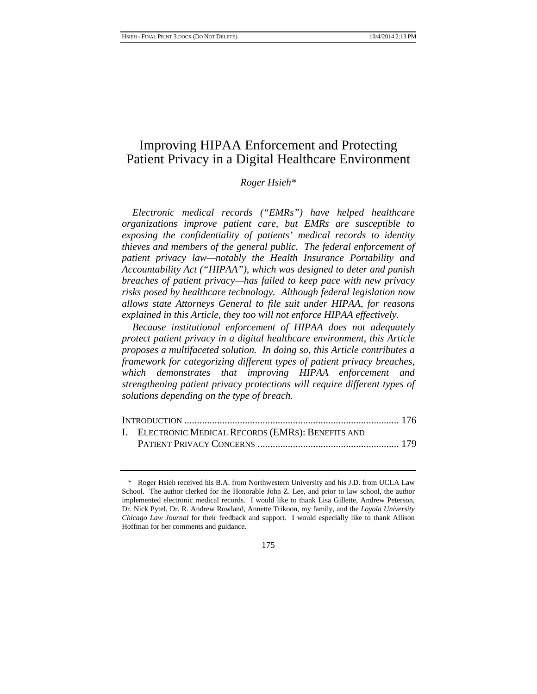# Improving HIPAA Enforcement and Protecting Patient Privacy in a Digital Healthcare Environment

#### *Roger Hsieh\**

*Electronic medical records ("EMRs") have helped healthcare organizations improve patient care, but EMRs are susceptible to exposing the confidentiality of patients' medical records to identity thieves and members of the general public. The federal enforcement of patient privacy law—notably the Health Insurance Portability and Accountability Act ("HIPAA"), which was designed to deter and punish breaches of patient privacy—has failed to keep pace with new privacy risks posed by healthcare technology. Although federal legislation now allows state Attorneys General to file suit under HIPAA, for reasons explained in this Article, they too will not enforce HIPAA effectively.* 

*Because institutional enforcement of HIPAA does not adequately protect patient privacy in a digital healthcare environment, this Article proposes a multifaceted solution. In doing so, this Article contributes a framework for categorizing different types of patient privacy breaches, which demonstrates that improving HIPAA enforcement and strengthening patient privacy protections will require different types of solutions depending on the type of breach.* 

| I. ELECTRONIC MEDICAL RECORDS (EMRS): BENEFITS AND |  |
|----------------------------------------------------|--|
|                                                    |  |

<sup>\*</sup> Roger Hsieh received his B.A. from Northwestern University and his J.D. from UCLA Law School. The author clerked for the Honorable John Z. Lee, and prior to law school, the author implemented electronic medical records. I would like to thank Lisa Gillette, Andrew Peterson, Dr. Nick Pytel, Dr. R. Andrew Rowland, Annette Trikoon, my family, and the *Loyola University Chicago Law Journal* for their feedback and support. I would especially like to thank Allison Hoffman for her comments and guidance.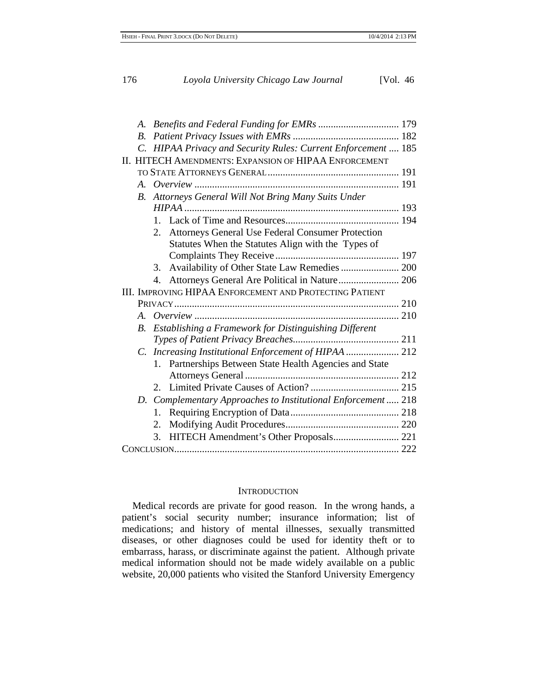| <i>B</i> .      |                                                       |                                                                |  |  |  |
|-----------------|-------------------------------------------------------|----------------------------------------------------------------|--|--|--|
| $\mathcal{C}$ . |                                                       | HIPAA Privacy and Security Rules: Current Enforcement  185     |  |  |  |
|                 |                                                       | II. HITECH AMENDMENTS: EXPANSION OF HIPAA ENFORCEMENT          |  |  |  |
|                 |                                                       |                                                                |  |  |  |
|                 |                                                       |                                                                |  |  |  |
| $B_{\cdot}$     | Attorneys General Will Not Bring Many Suits Under     |                                                                |  |  |  |
|                 |                                                       |                                                                |  |  |  |
|                 | 1.                                                    |                                                                |  |  |  |
|                 | 2.                                                    | <b>Attorneys General Use Federal Consumer Protection</b>       |  |  |  |
|                 |                                                       | Statutes When the Statutes Align with the Types of             |  |  |  |
|                 |                                                       |                                                                |  |  |  |
|                 | 3.                                                    |                                                                |  |  |  |
|                 |                                                       | Attorneys General Are Political in Nature 206                  |  |  |  |
|                 |                                                       | <b>III. IMPROVING HIPAA ENFORCEMENT AND PROTECTING PATIENT</b> |  |  |  |
|                 |                                                       |                                                                |  |  |  |
|                 |                                                       |                                                                |  |  |  |
| $B_{\cdot}$     |                                                       | Establishing a Framework for Distinguishing Different          |  |  |  |
|                 |                                                       |                                                                |  |  |  |
|                 | C. Increasing Institutional Enforcement of HIPAA  212 |                                                                |  |  |  |
|                 | $1_{-}$                                               | Partnerships Between State Health Agencies and State           |  |  |  |
|                 |                                                       |                                                                |  |  |  |
|                 |                                                       |                                                                |  |  |  |
|                 | 2.                                                    |                                                                |  |  |  |
|                 |                                                       |                                                                |  |  |  |
|                 | 1.                                                    | D. Complementary Approaches to Institutional Enforcement  218  |  |  |  |
|                 | 2.                                                    |                                                                |  |  |  |
|                 | 3.                                                    |                                                                |  |  |  |

#### **INTRODUCTION**

Medical records are private for good reason. In the wrong hands, a patient's social security number; insurance information; list of medications; and history of mental illnesses, sexually transmitted diseases, or other diagnoses could be used for identity theft or to embarrass, harass, or discriminate against the patient. Although private medical information should not be made widely available on a public website, 20,000 patients who visited the Stanford University Emergency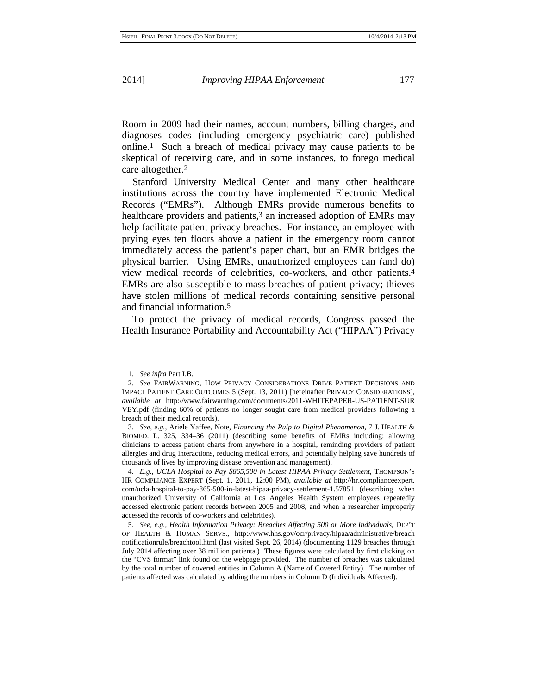Room in 2009 had their names, account numbers, billing charges, and diagnoses codes (including emergency psychiatric care) published online.1 Such a breach of medical privacy may cause patients to be skeptical of receiving care, and in some instances, to forego medical care altogether.2

Stanford University Medical Center and many other healthcare institutions across the country have implemented Electronic Medical Records ("EMRs"). Although EMRs provide numerous benefits to healthcare providers and patients,<sup>3</sup> an increased adoption of EMRs may help facilitate patient privacy breaches. For instance, an employee with prying eyes ten floors above a patient in the emergency room cannot immediately access the patient's paper chart, but an EMR bridges the physical barrier. Using EMRs, unauthorized employees can (and do) view medical records of celebrities, co-workers, and other patients.4 EMRs are also susceptible to mass breaches of patient privacy; thieves have stolen millions of medical records containing sensitive personal and financial information.5

To protect the privacy of medical records, Congress passed the Health Insurance Portability and Accountability Act ("HIPAA") Privacy

<sup>1</sup>*. See infra* Part I.B.

<sup>2</sup>*. See* FAIRWARNING, HOW PRIVACY CONSIDERATIONS DRIVE PATIENT DECISIONS AND IMPACT PATIENT CARE OUTCOMES 5 (Sept. 13, 2011) [hereinafter PRIVACY CONSIDERATIONS], *available at* http://www.fairwarning.com/documents/2011-WHITEPAPER-US-PATIENT-SUR VEY.pdf (finding 60% of patients no longer sought care from medical providers following a breach of their medical records).

<sup>3</sup>*. See, e.g.*, Ariele Yaffee, Note, *Financing the Pulp to Digital Phenomenon*, 7 J. HEALTH & BIOMED. L. 325, 334–36 (2011) (describing some benefits of EMRs including: allowing clinicians to access patient charts from anywhere in a hospital, reminding providers of patient allergies and drug interactions, reducing medical errors, and potentially helping save hundreds of thousands of lives by improving disease prevention and management).

<sup>4</sup>*. E.g.*, *UCLA Hospital to Pay \$865,500 in Latest HIPAA Privacy Settlement*, THOMPSON'S HR COMPLIANCE EXPERT (Sept. 1, 2011, 12:00 PM), *available at* http://hr.complianceexpert. com/ucla-hospital-to-pay-865-500-in-latest-hipaa-privacy-settlement-1.57851 (describing when unauthorized University of California at Los Angeles Health System employees repeatedly accessed electronic patient records between 2005 and 2008, and when a researcher improperly accessed the records of co-workers and celebrities).

<sup>5</sup>*. See, e.g.*, *Health Information Privacy: Breaches Affecting 500 or More Individuals*, DEP'T OF HEALTH & HUMAN SERVS., http://www.hhs.gov/ocr/privacy/hipaa/administrative/breach notificationrule/breachtool.html (last visited Sept. 26, 2014) (documenting 1129 breaches through July 2014 affecting over 38 million patients.) These figures were calculated by first clicking on the "CVS format" link found on the webpage provided. The number of breaches was calculated by the total number of covered entities in Column A (Name of Covered Entity). The number of patients affected was calculated by adding the numbers in Column D (Individuals Affected).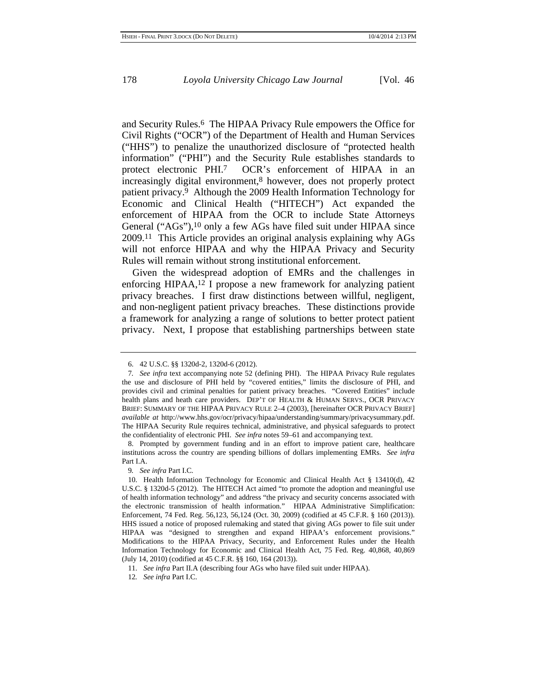and Security Rules.6 The HIPAA Privacy Rule empowers the Office for Civil Rights ("OCR") of the Department of Health and Human Services ("HHS") to penalize the unauthorized disclosure of "protected health information" ("PHI") and the Security Rule establishes standards to protect electronic PHI.7 OCR's enforcement of HIPAA in an increasingly digital environment,8 however, does not properly protect patient privacy.9 Although the 2009 Health Information Technology for Economic and Clinical Health ("HITECH") Act expanded the enforcement of HIPAA from the OCR to include State Attorneys General ("AGs"),10 only a few AGs have filed suit under HIPAA since 2009.11 This Article provides an original analysis explaining why AGs will not enforce HIPAA and why the HIPAA Privacy and Security Rules will remain without strong institutional enforcement.

Given the widespread adoption of EMRs and the challenges in enforcing HIPAA,12 I propose a new framework for analyzing patient privacy breaches. I first draw distinctions between willful, negligent, and non-negligent patient privacy breaches. These distinctions provide a framework for analyzing a range of solutions to better protect patient privacy. Next, I propose that establishing partnerships between state

<sup>6. 42</sup> U.S.C. §§ 1320d-2, 1320d-6 (2012).

<sup>7</sup>*. See infra* text accompanying note 52 (defining PHI). The HIPAA Privacy Rule regulates the use and disclosure of PHI held by "covered entities," limits the disclosure of PHI, and provides civil and criminal penalties for patient privacy breaches. "Covered Entities" include health plans and heath care providers. DEP'T OF HEALTH & HUMAN SERVS., OCR PRIVACY BRIEF: SUMMARY OF THE HIPAA PRIVACY RULE 2–4 (2003), [hereinafter OCR PRIVACY BRIEF] *available at* http://www.hhs.gov/ocr/privacy/hipaa/understanding/summary/privacysummary.pdf. The HIPAA Security Rule requires technical, administrative, and physical safeguards to protect the confidentiality of electronic PHI. *See infra* notes 59–61 and accompanying text.

<sup>8.</sup> Prompted by government funding and in an effort to improve patient care, healthcare institutions across the country are spending billions of dollars implementing EMRs. *See infra* Part I.A.

<sup>9</sup>*. See infra* Part I.C.

<sup>10.</sup> Health Information Technology for Economic and Clinical Health Act § 13410(d), 42 U.S.C. § 1320d-5 (2012). The HITECH Act aimed "to promote the adoption and meaningful use of health information technology" and address "the privacy and security concerns associated with the electronic transmission of health information." HIPAA Administrative Simplification: Enforcement, 74 Fed. Reg. 56,123, 56,124 (Oct. 30, 2009) (codified at 45 C.F.R. § 160 (2013)). HHS issued a notice of proposed rulemaking and stated that giving AGs power to file suit under HIPAA was "designed to strengthen and expand HIPAA's enforcement provisions." Modifications to the HIPAA Privacy, Security, and Enforcement Rules under the Health Information Technology for Economic and Clinical Health Act, 75 Fed. Reg. 40,868, 40,869 (July 14, 2010) (codified at 45 C.F.R. §§ 160, 164 (2013)).

<sup>11.</sup> *See infra* Part II.A (describing four AGs who have filed suit under HIPAA).

<sup>12</sup>*. See infra* Part I.C.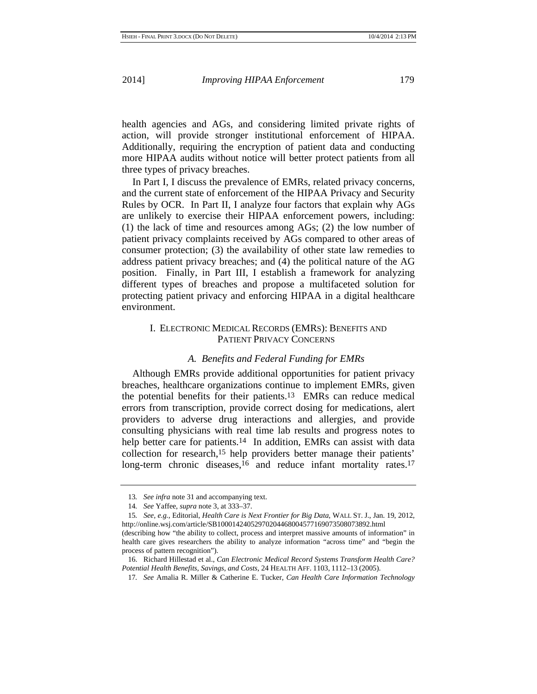health agencies and AGs, and considering limited private rights of action, will provide stronger institutional enforcement of HIPAA. Additionally, requiring the encryption of patient data and conducting more HIPAA audits without notice will better protect patients from all three types of privacy breaches.

In Part I, I discuss the prevalence of EMRs, related privacy concerns, and the current state of enforcement of the HIPAA Privacy and Security Rules by OCR. In Part II, I analyze four factors that explain why AGs are unlikely to exercise their HIPAA enforcement powers, including: (1) the lack of time and resources among AGs; (2) the low number of patient privacy complaints received by AGs compared to other areas of consumer protection; (3) the availability of other state law remedies to address patient privacy breaches; and (4) the political nature of the AG position. Finally, in Part III, I establish a framework for analyzing different types of breaches and propose a multifaceted solution for protecting patient privacy and enforcing HIPAA in a digital healthcare environment.

### I. ELECTRONIC MEDICAL RECORDS (EMRS): BENEFITS AND PATIENT PRIVACY CONCERNS

### *A. Benefits and Federal Funding for EMRs*

Although EMRs provide additional opportunities for patient privacy breaches, healthcare organizations continue to implement EMRs, given the potential benefits for their patients.13 EMRs can reduce medical errors from transcription, provide correct dosing for medications, alert providers to adverse drug interactions and allergies, and provide consulting physicians with real time lab results and progress notes to help better care for patients.<sup>14</sup> In addition, EMRs can assist with data collection for research,15 help providers better manage their patients' long-term chronic diseases,<sup>16</sup> and reduce infant mortality rates.<sup>17</sup>

<sup>13</sup>*. See infra* note 31 and accompanying text.

<sup>14</sup>*. See* Yaffee, *supra* note 3, at 333–37.

<sup>15</sup>*. See, e.g.*, Editorial, *Health Care is Next Frontier for Big Data*, WALL ST. J., Jan. 19, 2012, http://online.wsj.com/article/SB10001424052970204468004577169073508073892.html (describing how "the ability to collect, process and interpret massive amounts of information" in health care gives researchers the ability to analyze information "across time" and "begin the process of pattern recognition").

<sup>16.</sup> Richard Hillestad et al., *Can Electronic Medical Record Systems Transform Health Care? Potential Health Benefits, Savings, and Costs*, 24 HEALTH AFF. 1103, 1112–13 (2005).

<sup>17</sup>*. See* Amalia R. Miller & Catherine E. Tucker, *Can Health Care Information Technology*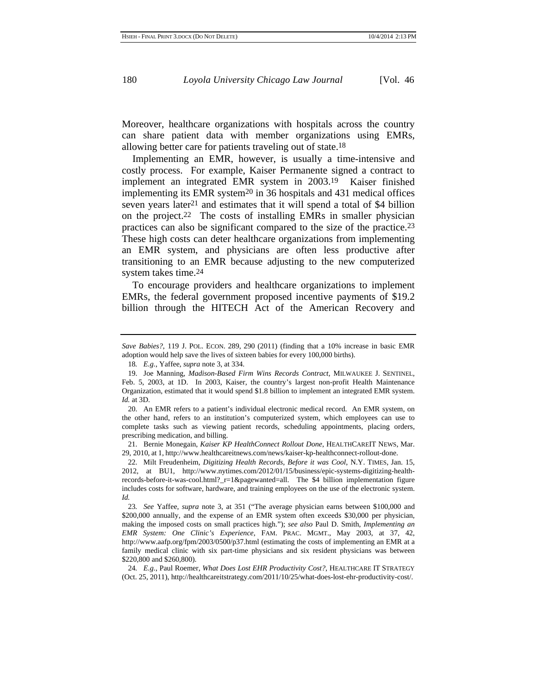Moreover, healthcare organizations with hospitals across the country can share patient data with member organizations using EMRs, allowing better care for patients traveling out of state.18

Implementing an EMR, however, is usually a time-intensive and costly process. For example, Kaiser Permanente signed a contract to implement an integrated EMR system in 2003.19 Kaiser finished implementing its EMR system $20$  in 36 hospitals and 431 medical offices seven years later21 and estimates that it will spend a total of \$4 billion on the project.22 The costs of installing EMRs in smaller physician practices can also be significant compared to the size of the practice.23 These high costs can deter healthcare organizations from implementing an EMR system, and physicians are often less productive after transitioning to an EMR because adjusting to the new computerized system takes time.24

To encourage providers and healthcare organizations to implement EMRs, the federal government proposed incentive payments of \$19.2 billion through the HITECH Act of the American Recovery and

20. An EMR refers to a patient's individual electronic medical record. An EMR system, on the other hand, refers to an institution's computerized system, which employees can use to complete tasks such as viewing patient records, scheduling appointments, placing orders, prescribing medication, and billing.

21. Bernie Monegain, *Kaiser KP HealthConnect Rollout Done*, HEALTHCAREIT NEWS, Mar. 29, 2010, at 1, http://www.healthcareitnews.com/news/kaiser-kp-healthconnect-rollout-done.

22. Milt Freudenheim, *Digitizing Health Records, Before it was Cool*, N.Y. TIMES, Jan. 15, 2012, at BU1, http://www.nytimes.com/2012/01/15/business/epic-systems-digitizing-healthrecords-before-it-was-cool.html?\_r=1&pagewanted=all. The \$4 billion implementation figure includes costs for software, hardware, and training employees on the use of the electronic system. *Id.*

23*. See* Yaffee, *supra* note 3, at 351 ("The average physician earns between \$100,000 and \$200,000 annually, and the expense of an EMR system often exceeds \$30,000 per physician, making the imposed costs on small practices high."); *see also* Paul D. Smith, *Implementing an EMR System: One Clinic's Experience*, FAM. PRAC. MGMT., May 2003, at 37, 42, http://www.aafp.org/fpm/2003/0500/p37.html (estimating the costs of implementing an EMR at a family medical clinic with six part-time physicians and six resident physicians was between \$220,800 and \$260,800).

24*. E.g.*, Paul Roemer, *What Does Lost EHR Productivity Cost?*, HEALTHCARE IT STRATEGY (Oct. 25, 2011), http://healthcareitstrategy.com/2011/10/25/what-does-lost-ehr-productivity-cost/.

*Save Babies?*, 119 J. POL. ECON. 289, 290 (2011) (finding that a 10% increase in basic EMR adoption would help save the lives of sixteen babies for every 100,000 births).

<sup>18</sup>*. E.g.*, Yaffee, *supra* note 3, at 334.

<sup>19.</sup> Joe Manning, *Madison-Based Firm Wins Records Contract*, MILWAUKEE J. SENTINEL, Feb. 5, 2003, at 1D. In 2003, Kaiser, the country's largest non-profit Health Maintenance Organization, estimated that it would spend \$1.8 billion to implement an integrated EMR system. *Id.* at 3D.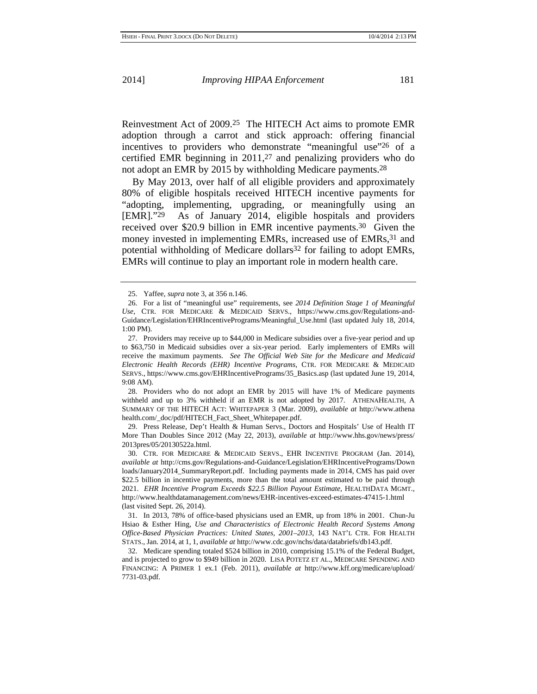Reinvestment Act of 2009.25 The HITECH Act aims to promote EMR adoption through a carrot and stick approach: offering financial incentives to providers who demonstrate "meaningful use"26 of a certified EMR beginning in 2011,27 and penalizing providers who do not adopt an EMR by 2015 by withholding Medicare payments.28

By May 2013, over half of all eligible providers and approximately 80% of eligible hospitals received HITECH incentive payments for "adopting, implementing, upgrading, or meaningfully using an [EMR]."29 As of January 2014, eligible hospitals and providers received over \$20.9 billion in EMR incentive payments.30 Given the money invested in implementing EMRs, increased use of EMRs,  $31$  and potential withholding of Medicare dollars<sup>32</sup> for failing to adopt EMRs, EMRs will continue to play an important role in modern health care.

28. Providers who do not adopt an EMR by 2015 will have 1% of Medicare payments withheld and up to 3% withheld if an EMR is not adopted by 2017. ATHENAHEALTH, A SUMMARY OF THE HITECH ACT: WHITEPAPER 3 (Mar. 2009), *available at* http://www.athena health.com/\_doc/pdf/HITECH\_Fact\_Sheet\_Whitepaper.pdf.

29. Press Release, Dep't Health & Human Servs., Doctors and Hospitals' Use of Health IT More Than Doubles Since 2012 (May 22, 2013), *available at* http://www.hhs.gov/news/press/ 2013pres/05/20130522a.html.

30. CTR. FOR MEDICARE & MEDICAID SERVS., EHR INCENTIVE PROGRAM (Jan. 2014), *available at* http://cms.gov/Regulations-and-Guidance/Legislation/EHRIncentivePrograms/Down loads/January2014\_SummaryReport.pdf. Including payments made in 2014, CMS has paid over \$22.5 billion in incentive payments, more than the total amount estimated to be paid through 2021. *EHR Incentive Program Exceeds \$22.5 Billion Payout Estimate*, HEALTHDATA MGMT., http://www.healthdatamanagement.com/news/EHR-incentives-exceed-estimates-47415-1.html (last visited Sept. 26, 2014).

31. In 2013, 78% of office-based physicians used an EMR, up from 18% in 2001. Chun-Ju Hsiao & Esther Hing, *Use and Characteristics of Electronic Health Record Systems Among Office-Based Physician Practices: United States, 2001–2013*, 143 NAT'L CTR. FOR HEALTH STATS., Jan. 2014, at 1, 1, *available at* http://www.cdc.gov/nchs/data/databriefs/db143.pdf.

32. Medicare spending totaled \$524 billion in 2010, comprising 15.1% of the Federal Budget, and is projected to grow to \$949 billion in 2020. LISA POTETZ ET AL., MEDICARE SPENDING AND FINANCING: A PRIMER 1 ex.1 (Feb. 2011), *available at* http://www.kff.org/medicare/upload/ 7731-03.pdf.

<sup>25.</sup> Yaffee, *supra* note 3, at 356 n.146.

<sup>26.</sup> For a list of "meaningful use" requirements, see *2014 Definition Stage 1 of Meaningful Use*, CTR. FOR MEDICARE & MEDICAID SERVS., https://www.cms.gov/Regulations-and-Guidance/Legislation/EHRIncentivePrograms/Meaningful\_Use.html (last updated July 18, 2014, 1:00 PM).

<sup>27.</sup> Providers may receive up to \$44,000 in Medicare subsidies over a five-year period and up to \$63,750 in Medicaid subsidies over a six-year period. Early implementers of EMRs will receive the maximum payments. *See The Official Web Site for the Medicare and Medicaid Electronic Health Records (EHR) Incentive Programs*, CTR. FOR MEDICARE & MEDICAID SERVS., https://www.cms.gov/EHRIncentivePrograms/35\_Basics.asp (last updated June 19, 2014, 9:08 AM).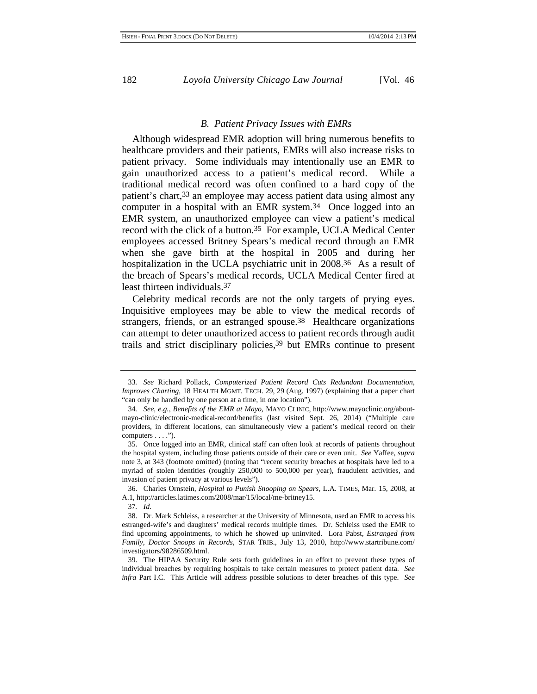#### *B. Patient Privacy Issues with EMRs*

Although widespread EMR adoption will bring numerous benefits to healthcare providers and their patients, EMRs will also increase risks to patient privacy. Some individuals may intentionally use an EMR to gain unauthorized access to a patient's medical record. While a traditional medical record was often confined to a hard copy of the patient's chart,33 an employee may access patient data using almost any computer in a hospital with an EMR system.34 Once logged into an EMR system, an unauthorized employee can view a patient's medical record with the click of a button.35 For example, UCLA Medical Center employees accessed Britney Spears's medical record through an EMR when she gave birth at the hospital in 2005 and during her hospitalization in the UCLA psychiatric unit in 2008.<sup>36</sup> As a result of the breach of Spears's medical records, UCLA Medical Center fired at least thirteen individuals.37

Celebrity medical records are not the only targets of prying eyes. Inquisitive employees may be able to view the medical records of strangers, friends, or an estranged spouse.38 Healthcare organizations can attempt to deter unauthorized access to patient records through audit trails and strict disciplinary policies,39 but EMRs continue to present

36. Charles Ornstein, *Hospital to Punish Snooping on Spears*, L.A. TIMES, Mar. 15, 2008, at A.1, http://articles.latimes.com/2008/mar/15/local/me-britney15.

37*. Id.*

<sup>33</sup>*. See* Richard Pollack, *Computerized Patient Record Cuts Redundant Documentation, Improves Charting*, 18 HEALTH MGMT. TECH. 29, 29 (Aug. 1997) (explaining that a paper chart "can only be handled by one person at a time, in one location").

<sup>34</sup>*. See, e.g.*, *Benefits of the EMR at Mayo*, MAYO CLINIC, http://www.mayoclinic.org/aboutmayo-clinic/electronic-medical-record/benefits (last visited Sept. 26, 2014) ("Multiple care providers, in different locations, can simultaneously view a patient's medical record on their computers  $\dots$ .").

<sup>35.</sup> Once logged into an EMR, clinical staff can often look at records of patients throughout the hospital system, including those patients outside of their care or even unit. *See* Yaffee, *supra* note 3, at 343 (footnote omitted) (noting that "recent security breaches at hospitals have led to a myriad of stolen identities (roughly 250,000 to 500,000 per year), fraudulent activities, and invasion of patient privacy at various levels").

<sup>38.</sup> Dr. Mark Schleiss, a researcher at the University of Minnesota, used an EMR to access his estranged-wife's and daughters' medical records multiple times. Dr. Schleiss used the EMR to find upcoming appointments, to which he showed up uninvited. Lora Pabst, *Estranged from Family, Doctor Snoops in Records*, STAR TRIB., July 13, 2010, http://www.startribune.com/ investigators/98286509.html.

<sup>39.</sup> The HIPAA Security Rule sets forth guidelines in an effort to prevent these types of individual breaches by requiring hospitals to take certain measures to protect patient data. *See infra* Part I.C. This Article will address possible solutions to deter breaches of this type. *See*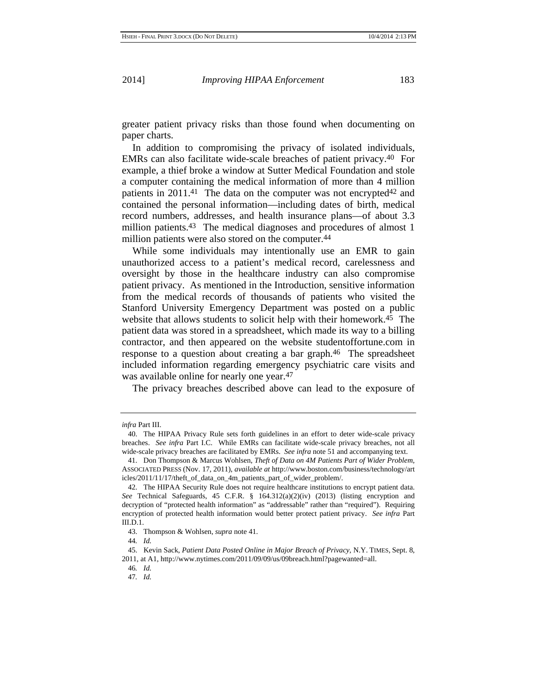greater patient privacy risks than those found when documenting on paper charts.

In addition to compromising the privacy of isolated individuals, EMRs can also facilitate wide-scale breaches of patient privacy.40 For example, a thief broke a window at Sutter Medical Foundation and stole a computer containing the medical information of more than 4 million patients in  $2011<sup>41</sup>$ . The data on the computer was not encrypted<sup>42</sup> and contained the personal information—including dates of birth, medical record numbers, addresses, and health insurance plans—of about 3.3 million patients.<sup>43</sup> The medical diagnoses and procedures of almost 1 million patients were also stored on the computer.44

While some individuals may intentionally use an EMR to gain unauthorized access to a patient's medical record, carelessness and oversight by those in the healthcare industry can also compromise patient privacy. As mentioned in the Introduction, sensitive information from the medical records of thousands of patients who visited the Stanford University Emergency Department was posted on a public website that allows students to solicit help with their homework.45 The patient data was stored in a spreadsheet, which made its way to a billing contractor, and then appeared on the website studentoffortune.com in response to a question about creating a bar graph.46 The spreadsheet included information regarding emergency psychiatric care visits and was available online for nearly one year.<sup>47</sup>

The privacy breaches described above can lead to the exposure of

*infra* Part III.

<sup>40.</sup> The HIPAA Privacy Rule sets forth guidelines in an effort to deter wide-scale privacy breaches. *See infra* Part I.C. While EMRs can facilitate wide-scale privacy breaches, not all wide-scale privacy breaches are facilitated by EMRs. *See infra* note 51 and accompanying text.

<sup>41.</sup> Don Thompson & Marcus Wohlsen, *Theft of Data on 4M Patients Part of Wider Problem*, ASSOCIATED PRESS (Nov. 17, 2011), *available at* http://www.boston.com/business/technology/art icles/2011/11/17/theft\_of\_data\_on\_4m\_patients\_part\_of\_wider\_problem/.

<sup>42.</sup> The HIPAA Security Rule does not require healthcare institutions to encrypt patient data. *See* Technical Safeguards, 45 C.F.R. § 164.312(a)(2)(iv) (2013) (listing encryption and decryption of "protected health information" as "addressable" rather than "required"). Requiring encryption of protected health information would better protect patient privacy. *See infra* Part III.D.1.

<sup>43.</sup> Thompson & Wohlsen, *supra* note 41.

<sup>44</sup>*. Id.*

<sup>45.</sup> Kevin Sack, *Patient Data Posted Online in Major Breach of Privacy*, N.Y. TIMES, Sept. 8, 2011, at A1, http://www.nytimes.com/2011/09/09/us/09breach.html?pagewanted=all.

<sup>46</sup>*. Id.*

<sup>47</sup>*. Id.*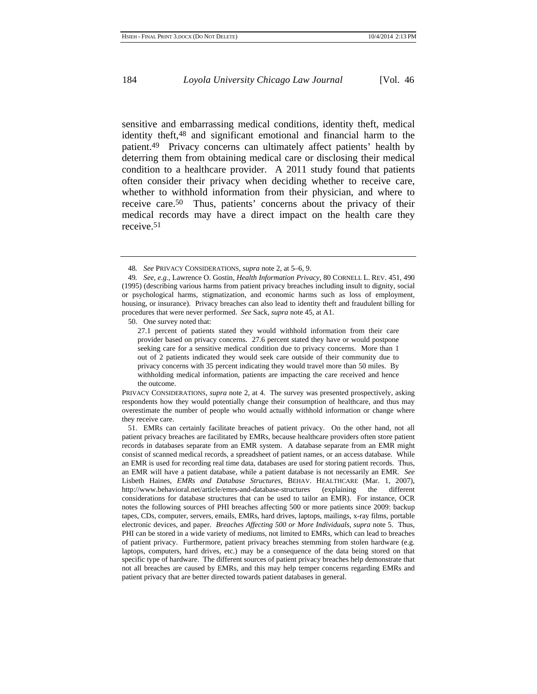sensitive and embarrassing medical conditions, identity theft, medical identity theft,48 and significant emotional and financial harm to the patient.49 Privacy concerns can ultimately affect patients' health by deterring them from obtaining medical care or disclosing their medical condition to a healthcare provider. A 2011 study found that patients often consider their privacy when deciding whether to receive care, whether to withhold information from their physician, and where to receive care.50 Thus, patients' concerns about the privacy of their medical records may have a direct impact on the health care they receive.51

50. One survey noted that:

PRIVACY CONSIDERATIONS, *supra* note 2, at 4. The survey was presented prospectively, asking respondents how they would potentially change their consumption of healthcare, and thus may overestimate the number of people who would actually withhold information or change where they receive care.

51. EMRs can certainly facilitate breaches of patient privacy. On the other hand, not all patient privacy breaches are facilitated by EMRs, because healthcare providers often store patient records in databases separate from an EMR system. A database separate from an EMR might consist of scanned medical records, a spreadsheet of patient names, or an access database. While an EMR is used for recording real time data, databases are used for storing patient records. Thus, an EMR will have a patient database, while a patient database is not necessarily an EMR. *See* Lisbeth Haines, *EMRs and Database Structures*, BEHAV. HEALTHCARE (Mar. 1, 2007), http://www.behavioral.net/article/emrs-and-database-structures (explaining the different considerations for database structures that can be used to tailor an EMR). For instance, OCR notes the following sources of PHI breaches affecting 500 or more patients since 2009: backup tapes, CDs, computer, servers, emails, EMRs, hard drives, laptops, mailings, x-ray films, portable electronic devices, and paper. *Breaches Affecting 500 or More Individuals*, *supra* note 5. Thus, PHI can be stored in a wide variety of mediums, not limited to EMRs, which can lead to breaches of patient privacy. Furthermore, patient privacy breaches stemming from stolen hardware (e.g. laptops, computers, hard drives, etc.) may be a consequence of the data being stored on that specific type of hardware. The different sources of patient privacy breaches help demonstrate that not all breaches are caused by EMRs, and this may help temper concerns regarding EMRs and patient privacy that are better directed towards patient databases in general.

<sup>48</sup>*. See* PRIVACY CONSIDERATIONS, *supra* note 2, at 5–6, 9.

<sup>49</sup>*. See, e.g.*, Lawrence O. Gostin, *Health Information Privacy*, 80 CORNELL L. REV. 451, 490 (1995) (describing various harms from patient privacy breaches including insult to dignity, social or psychological harms, stigmatization, and economic harms such as loss of employment, housing, or insurance). Privacy breaches can also lead to identity theft and fraudulent billing for procedures that were never performed. *See* Sack, *supra* note 45, at A1.

<sup>27.1</sup> percent of patients stated they would withhold information from their care provider based on privacy concerns. 27.6 percent stated they have or would postpone seeking care for a sensitive medical condition due to privacy concerns. More than 1 out of 2 patients indicated they would seek care outside of their community due to privacy concerns with 35 percent indicating they would travel more than 50 miles. By withholding medical information, patients are impacting the care received and hence the outcome.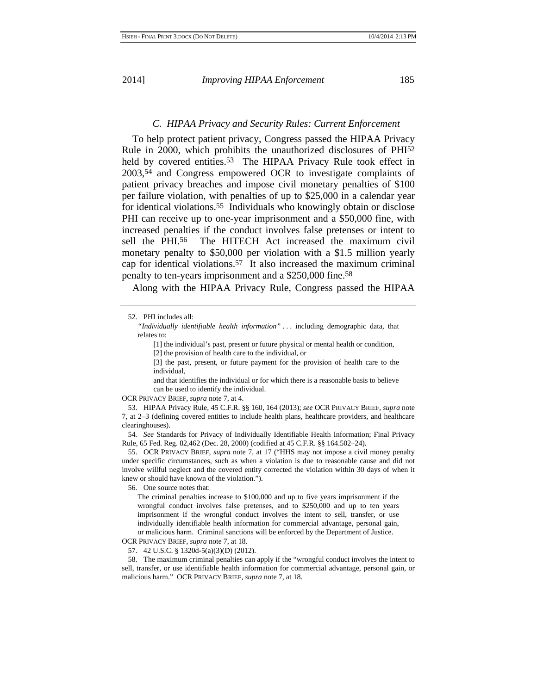#### *C. HIPAA Privacy and Security Rules: Current Enforcement*

To help protect patient privacy, Congress passed the HIPAA Privacy Rule in 2000, which prohibits the unauthorized disclosures of PHI52 held by covered entities.<sup>53</sup> The HIPAA Privacy Rule took effect in 2003,54 and Congress empowered OCR to investigate complaints of patient privacy breaches and impose civil monetary penalties of \$100 per failure violation, with penalties of up to \$25,000 in a calendar year for identical violations.55 Individuals who knowingly obtain or disclose PHI can receive up to one-year imprisonment and a \$50,000 fine, with increased penalties if the conduct involves false pretenses or intent to sell the PHI.56 The HITECH Act increased the maximum civil monetary penalty to \$50,000 per violation with a \$1.5 million yearly cap for identical violations.57 It also increased the maximum criminal penalty to ten-years imprisonment and a \$250,000 fine.58

Along with the HIPAA Privacy Rule, Congress passed the HIPAA

52. PHI includes all:

*"Individually identifiable health information"* . . . including demographic data, that relates to:

[1] the individual's past, present or future physical or mental health or condition,

[2] the provision of health care to the individual, or

[3] the past, present, or future payment for the provision of health care to the individual,

and that identifies the individual or for which there is a reasonable basis to believe can be used to identify the individual.

OCR PRIVACY BRIEF, *supra* note 7, at 4.

53. HIPAA Privacy Rule, 45 C.F.R. §§ 160, 164 (2013); *see* OCR PRIVACY BRIEF, *supra* note 7, at 2–3 (defining covered entities to include health plans, healthcare providers, and healthcare clearinghouses).

54*. See* Standards for Privacy of Individually Identifiable Health Information; Final Privacy Rule, 65 Fed. Reg. 82,462 (Dec. 28, 2000) (codified at 45 C.F.R. §§ 164.502–24).

55. OCR PRIVACY BRIEF, *supra* note 7, at 17 ("HHS may not impose a civil money penalty under specific circumstances, such as when a violation is due to reasonable cause and did not involve willful neglect and the covered entity corrected the violation within 30 days of when it knew or should have known of the violation.").

56. One source notes that:

The criminal penalties increase to \$100,000 and up to five years imprisonment if the wrongful conduct involves false pretenses, and to \$250,000 and up to ten years imprisonment if the wrongful conduct involves the intent to sell, transfer, or use individually identifiable health information for commercial advantage, personal gain, or malicious harm. Criminal sanctions will be enforced by the Department of Justice.

OCR PRIVACY BRIEF, *supra* note 7, at 18.

57. 42 U.S.C. § 1320d-5(a)(3)(D) (2012).

58. The maximum criminal penalties can apply if the "wrongful conduct involves the intent to sell, transfer, or use identifiable health information for commercial advantage, personal gain, or malicious harm." OCR PRIVACY BRIEF, *supra* note 7, at 18.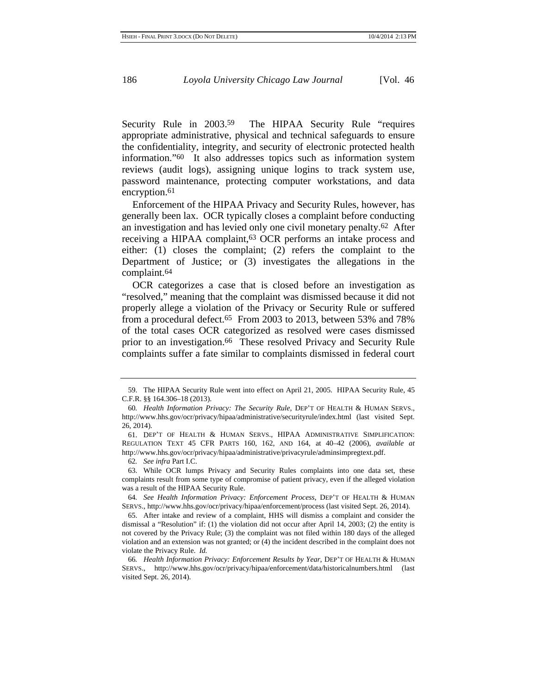Security Rule in 2003.59 The HIPAA Security Rule "requires appropriate administrative, physical and technical safeguards to ensure the confidentiality, integrity, and security of electronic protected health information."60 It also addresses topics such as information system reviews (audit logs), assigning unique logins to track system use, password maintenance, protecting computer workstations, and data encryption.<sup>61</sup>

Enforcement of the HIPAA Privacy and Security Rules, however, has generally been lax. OCR typically closes a complaint before conducting an investigation and has levied only one civil monetary penalty.62 After receiving a HIPAA complaint,63 OCR performs an intake process and either: (1) closes the complaint; (2) refers the complaint to the Department of Justice; or (3) investigates the allegations in the complaint.64

OCR categorizes a case that is closed before an investigation as "resolved," meaning that the complaint was dismissed because it did not properly allege a violation of the Privacy or Security Rule or suffered from a procedural defect.65 From 2003 to 2013, between 53% and 78% of the total cases OCR categorized as resolved were cases dismissed prior to an investigation.<sup>66</sup> These resolved Privacy and Security Rule complaints suffer a fate similar to complaints dismissed in federal court

64*. See Health Information Privacy: Enforcement Process*, DEP'T OF HEALTH & HUMAN SERVS., http://www.hhs.gov/ocr/privacy/hipaa/enforcement/process (last visited Sept. 26, 2014).

65. After intake and review of a complaint, HHS will dismiss a complaint and consider the dismissal a "Resolution" if: (1) the violation did not occur after April 14, 2003; (2) the entity is not covered by the Privacy Rule; (3) the complaint was not filed within 180 days of the alleged violation and an extension was not granted; or (4) the incident described in the complaint does not violate the Privacy Rule. *Id.*

<sup>59.</sup> The HIPAA Security Rule went into effect on April 21, 2005. HIPAA Security Rule, 45 C.F.R. §§ 164.306–18 (2013).

<sup>60</sup>*. Health Information Privacy: The Security Rule*, DEP'T OF HEALTH & HUMAN SERVS., http://www.hhs.gov/ocr/privacy/hipaa/administrative/securityrule/index.html (last visited Sept. 26, 2014).

<sup>61.</sup> DEP'T OF HEALTH & HUMAN SERVS., HIPAA ADMINISTRATIVE SIMPLIFICATION: REGULATION TEXT 45 CFR PARTS 160, 162, AND 164, at 40–42 (2006), *available at* http://www.hhs.gov/ocr/privacy/hipaa/administrative/privacyrule/adminsimpregtext.pdf.

<sup>62</sup>*. See infra* Part I.C.

<sup>63.</sup> While OCR lumps Privacy and Security Rules complaints into one data set, these complaints result from some type of compromise of patient privacy, even if the alleged violation was a result of the HIPAA Security Rule.

<sup>66</sup>*. Health Information Privacy: Enforcement Results by Year*, DEP'T OF HEALTH & HUMAN SERVS., http://www.hhs.gov/ocr/privacy/hipaa/enforcement/data/historicalnumbers.html (last visited Sept. 26, 2014).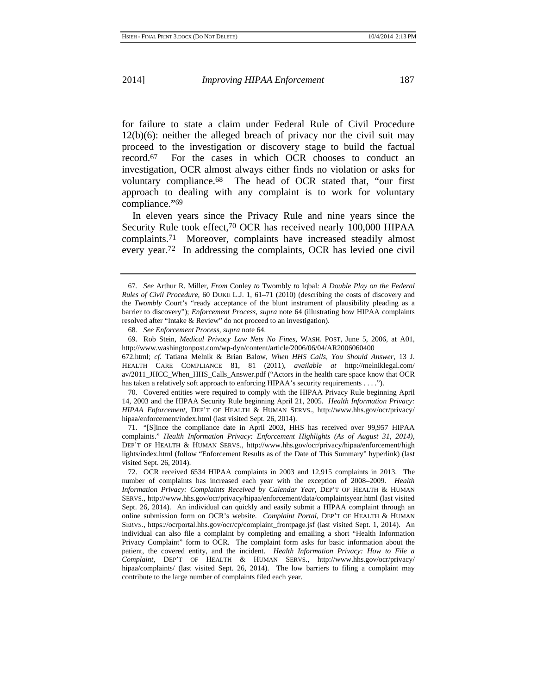for failure to state a claim under Federal Rule of Civil Procedure 12(b)(6): neither the alleged breach of privacy nor the civil suit may proceed to the investigation or discovery stage to build the factual record.67 For the cases in which OCR chooses to conduct an investigation, OCR almost always either finds no violation or asks for voluntary compliance.68 The head of OCR stated that, "our first approach to dealing with any complaint is to work for voluntary compliance."69

In eleven years since the Privacy Rule and nine years since the Security Rule took effect,<sup>70</sup> OCR has received nearly 100,000 HIPAA complaints.71 Moreover, complaints have increased steadily almost every year.72 In addressing the complaints, OCR has levied one civil

69. Rob Stein, *Medical Privacy Law Nets No Fines*, WASH. POST, June 5, 2006, at A01, http://www.washingtonpost.com/wp-dyn/content/article/2006/06/04/AR2006060400

672.html; *cf.* Tatiana Melnik & Brian Balow, *When HHS Calls, You Should Answer*, 13 J. HEALTH CARE COMPLIANCE 81, 81 (2011), *available at* http://melniklegal.com/ av/2011\_JHCC\_When\_HHS\_Calls\_Answer.pdf ("Actors in the health care space know that OCR has taken a relatively soft approach to enforcing HIPAA's security requirements . . . .").

70. Covered entities were required to comply with the HIPAA Privacy Rule beginning April 14, 2003 and the HIPAA Security Rule beginning April 21, 2005. *Health Information Privacy: HIPAA Enforcement*, DEP'T OF HEALTH & HUMAN SERVS., http://www.hhs.gov/ocr/privacy/ hipaa/enforcement/index.html (last visited Sept. 26, 2014).

71. "[S]ince the compliance date in April 2003, HHS has received over 99,957 HIPAA complaints." *Health Information Privacy: Enforcement Highlights (As of August 31, 2014)*, DEP'T OF HEALTH & HUMAN SERVS., http://www.hhs.gov/ocr/privacy/hipaa/enforcement/high lights/index.html (follow "Enforcement Results as of the Date of This Summary" hyperlink) (last visited Sept. 26, 2014).

72. OCR received 6534 HIPAA complaints in 2003 and 12,915 complaints in 2013. The number of complaints has increased each year with the exception of 2008–2009. *Health Information Privacy: Complaints Received by Calendar Year*, DEP'T OF HEALTH & HUMAN SERVS., http://www.hhs.gov/ocr/privacy/hipaa/enforcement/data/complaintsyear.html (last visited Sept. 26, 2014). An individual can quickly and easily submit a HIPAA complaint through an online submission form on OCR's website. *Complaint Portal*, DEP'T OF HEALTH & HUMAN SERVS., https://ocrportal.hhs.gov/ocr/cp/complaint\_frontpage.jsf (last visited Sept. 1, 2014). An individual can also file a complaint by completing and emailing a short "Health Information Privacy Complaint" form to OCR. The complaint form asks for basic information about the patient, the covered entity, and the incident. *Health Information Privacy: How to File a Complaint*, DEP'T OF HEALTH & HUMAN SERVS., http://www.hhs.gov/ocr/privacy/ hipaa/complaints/ (last visited Sept. 26, 2014). The low barriers to filing a complaint may contribute to the large number of complaints filed each year.

<sup>67</sup>*. See* Arthur R. Miller, *From* Conley *to* Twombly *to* Iqbal*: A Double Play on the Federal Rules of Civil Procedure*, 60 DUKE L.J. 1, 61–71 (2010) (describing the costs of discovery and the *Twombly* Court's "ready acceptance of the blunt instrument of plausibility pleading as a barrier to discovery"); *Enforcement Process*, *supra* note 64 (illustrating how HIPAA complaints resolved after "Intake & Review" do not proceed to an investigation).

<sup>68</sup>*. See Enforcement Process*, *supra* note 64.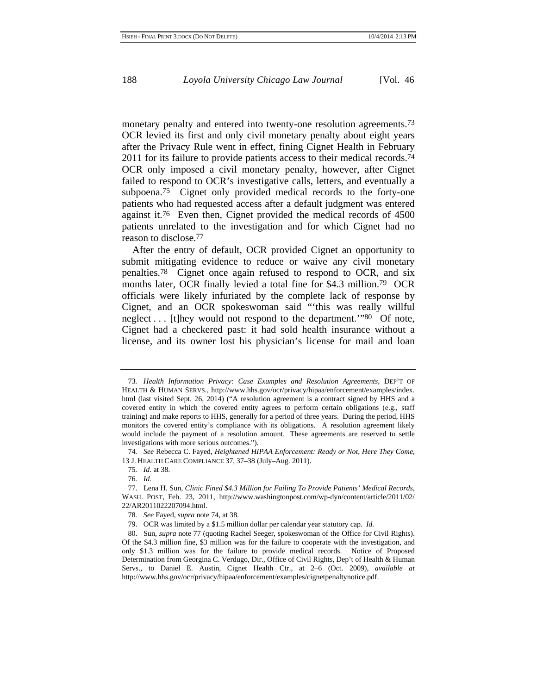monetary penalty and entered into twenty-one resolution agreements.<sup>73</sup> OCR levied its first and only civil monetary penalty about eight years after the Privacy Rule went in effect, fining Cignet Health in February 2011 for its failure to provide patients access to their medical records.<sup>74</sup> OCR only imposed a civil monetary penalty, however, after Cignet failed to respond to OCR's investigative calls, letters, and eventually a subpoena.75 Cignet only provided medical records to the forty-one patients who had requested access after a default judgment was entered against it.76 Even then, Cignet provided the medical records of 4500 patients unrelated to the investigation and for which Cignet had no reason to disclose.77

After the entry of default, OCR provided Cignet an opportunity to submit mitigating evidence to reduce or waive any civil monetary penalties.78 Cignet once again refused to respond to OCR, and six months later, OCR finally levied a total fine for \$4.3 million.79 OCR officials were likely infuriated by the complete lack of response by Cignet, and an OCR spokeswoman said "'this was really willful neglect . . . [t]hey would not respond to the department.'"80 Of note, Cignet had a checkered past: it had sold health insurance without a license, and its owner lost his physician's license for mail and loan

75*. Id.* at 38.

<sup>73</sup>*. Health Information Privacy: Case Examples and Resolution Agreements*, DEP'T OF HEALTH & HUMAN SERVS., http://www.hhs.gov/ocr/privacy/hipaa/enforcement/examples/index. html (last visited Sept. 26, 2014) ("A resolution agreement is a contract signed by HHS and a covered entity in which the covered entity agrees to perform certain obligations (e.g., staff training) and make reports to HHS, generally for a period of three years. During the period, HHS monitors the covered entity's compliance with its obligations. A resolution agreement likely would include the payment of a resolution amount. These agreements are reserved to settle investigations with more serious outcomes.").

<sup>74</sup>*. See* Rebecca C. Fayed, *Heightened HIPAA Enforcement: Ready or Not, Here They Come*, 13 J. HEALTH CARE COMPLIANCE 37, 37–38 (July–Aug. 2011).

<sup>76</sup>*. Id.*

<sup>77.</sup> Lena H. Sun, *Clinic Fined \$4.3 Million for Failing To Provide Patients' Medical Records*, WASH. POST, Feb. 23, 2011, http://www.washingtonpost.com/wp-dyn/content/article/2011/02/ 22/AR2011022207094.html.

<sup>78</sup>*. See* Fayed, *supra* note 74, at 38.

<sup>79.</sup> OCR was limited by a \$1.5 million dollar per calendar year statutory cap. *Id.*

<sup>80.</sup> Sun, *supra* note 77 (quoting Rachel Seeger, spokeswoman of the Office for Civil Rights). Of the \$4.3 million fine, \$3 million was for the failure to cooperate with the investigation, and only \$1.3 million was for the failure to provide medical records. Notice of Proposed Determination from Georgina C. Verdugo, Dir., Office of Civil Rights, Dep't of Health & Human Servs., to Daniel E. Austin, Cignet Health Ctr., at 2–6 (Oct. 2009), *available at* http://www.hhs.gov/ocr/privacy/hipaa/enforcement/examples/cignetpenaltynotice.pdf.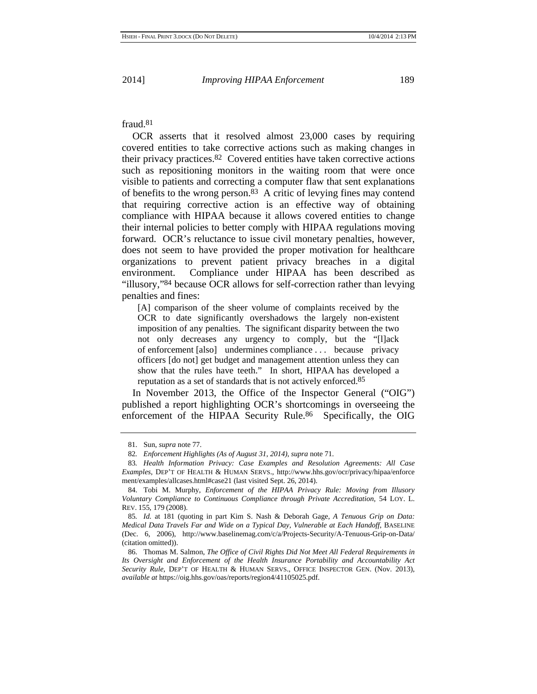### fraud.81

OCR asserts that it resolved almost 23,000 cases by requiring covered entities to take corrective actions such as making changes in their privacy practices.82 Covered entities have taken corrective actions such as repositioning monitors in the waiting room that were once visible to patients and correcting a computer flaw that sent explanations of benefits to the wrong person.83 A critic of levying fines may contend that requiring corrective action is an effective way of obtaining compliance with HIPAA because it allows covered entities to change their internal policies to better comply with HIPAA regulations moving forward. OCR's reluctance to issue civil monetary penalties, however, does not seem to have provided the proper motivation for healthcare organizations to prevent patient privacy breaches in a digital environment. Compliance under HIPAA has been described as "illusory,"84 because OCR allows for self-correction rather than levying penalties and fines:

[A] comparison of the sheer volume of complaints received by the OCR to date significantly overshadows the largely non-existent imposition of any penalties. The significant disparity between the two not only decreases any urgency to comply, but the "[l]ack of enforcement [also] undermines compliance . . . because privacy officers [do not] get budget and management attention unless they can show that the rules have teeth." In short, HIPAA has developed a reputation as a set of standards that is not actively enforced.85

In November 2013, the Office of the Inspector General ("OIG") published a report highlighting OCR's shortcomings in overseeing the enforcement of the HIPAA Security Rule.<sup>86</sup> Specifically, the OIG

<sup>81.</sup> Sun, *supra* note 77.

<sup>82</sup>*. Enforcement Highlights (As of August 31, 2014)*, *supra* note 71.

<sup>83</sup>*. Health Information Privacy: Case Examples and Resolution Agreements: All Case Examples*, DEP'T OF HEALTH & HUMAN SERVS., http://www.hhs.gov/ocr/privacy/hipaa/enforce ment/examples/allcases.html#case21 (last visited Sept. 26, 2014).

<sup>84.</sup> Tobi M. Murphy, *Enforcement of the HIPAA Privacy Rule: Moving from Illusory Voluntary Compliance to Continuous Compliance through Private Accreditation*, 54 LOY. L. REV. 155, 179 (2008).

<sup>85</sup>*. Id.* at 181 (quoting in part Kim S. Nash & Deborah Gage, *A Tenuous Grip on Data: Medical Data Travels Far and Wide on a Typical Day, Vulnerable at Each Handoff*, BASELINE (Dec. 6, 2006), http://www.baselinemag.com/c/a/Projects-Security/A-Tenuous-Grip-on-Data/ (citation omitted)).

<sup>86.</sup> Thomas M. Salmon, *The Office of Civil Rights Did Not Meet All Federal Requirements in Its Oversight and Enforcement of the Health Insurance Portability and Accountability Act Security Rule*, DEP'T OF HEALTH & HUMAN SERVS., OFFICE INSPECTOR GEN. (Nov. 2013), *available at* https://oig.hhs.gov/oas/reports/region4/41105025.pdf.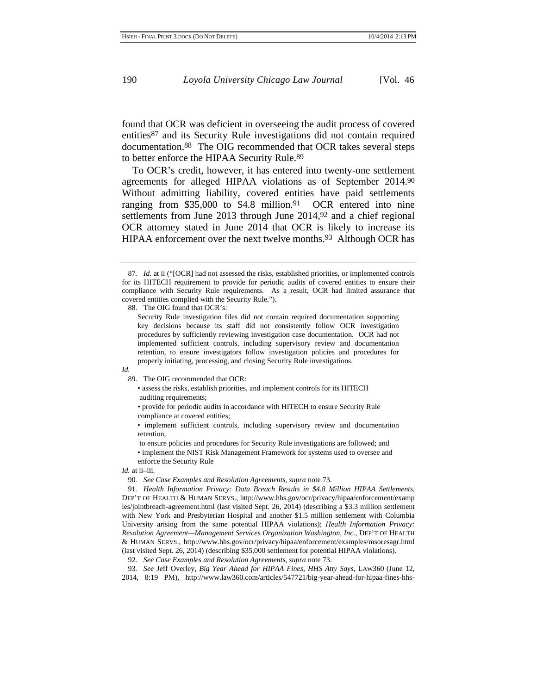found that OCR was deficient in overseeing the audit process of covered entities87 and its Security Rule investigations did not contain required documentation.88 The OIG recommended that OCR takes several steps to better enforce the HIPAA Security Rule.89

 To OCR's credit, however, it has entered into twenty-one settlement agreements for alleged HIPAA violations as of September 2014.90 Without admitting liability, covered entities have paid settlements ranging from \$35,000 to \$4.8 million.<sup>91</sup> OCR entered into nine settlements from June 2013 through June 2014,<sup>92</sup> and a chief regional OCR attorney stated in June 2014 that OCR is likely to increase its HIPAA enforcement over the next twelve months.93 Although OCR has

88. The OIG found that OCR's:

#### *Id.*

89. The OIG recommended that OCR:

• assess the risks, establish priorities, and implement controls for its HITECH auditing requirements;

• provide for periodic audits in accordance with HITECH to ensure Security Rule compliance at covered entities;

• implement sufficient controls, including supervisory review and documentation retention,

 to ensure policies and procedures for Security Rule investigations are followed; and • implement the NIST Risk Management Framework for systems used to oversee and

enforce the Security Rule

*Id.* at ii–iii.

90*. See Case Examples and Resolution Agreements*, *supra* note 73.

91*. Health Information Privacy: Data Breach Results in \$4.8 Million HIPAA Settlements*, DEP'T OF HEALTH & HUMAN SERVS., http://www.hhs.gov/ocr/privacy/hipaa/enforcement/examp les/jointbreach-agreement.html (last visited Sept. 26, 2014) (describing a \$3.3 million settlement with New York and Presbyterian Hospital and another \$1.5 million settlement with Columbia University arising from the same potential HIPAA violations); *Health Information Privacy: Resolution Agreement—Management Services Organization Washington, Inc.*, DEP'T OF HEALTH & HUMAN SERVS., http://www.hhs.gov/ocr/privacy/hipaa/enforcement/examples/msoresagr.html (last visited Sept. 26, 2014) (describing \$35,000 settlement for potential HIPAA violations).

92*. See Case Examples and Resolution Agreements*, *supra* note 73.

93*. See* Jeff Overley, *Big Year Ahead for HIPAA Fines, HHS Atty Says*, LAW360 (June 12,

<sup>87</sup>*. Id.* at ii ("[OCR] had not assessed the risks, established priorities, or implemented controls for its HITECH requirement to provide for periodic audits of covered entities to ensure their compliance with Security Rule requirements. As a result, OCR had limited assurance that covered entities complied with the Security Rule.").

Security Rule investigation files did not contain required documentation supporting key decisions because its staff did not consistently follow OCR investigation procedures by sufficiently reviewing investigation case documentation. OCR had not implemented sufficient controls, including supervisory review and documentation retention, to ensure investigators follow investigation policies and procedures for properly initiating, processing, and closing Security Rule investigations.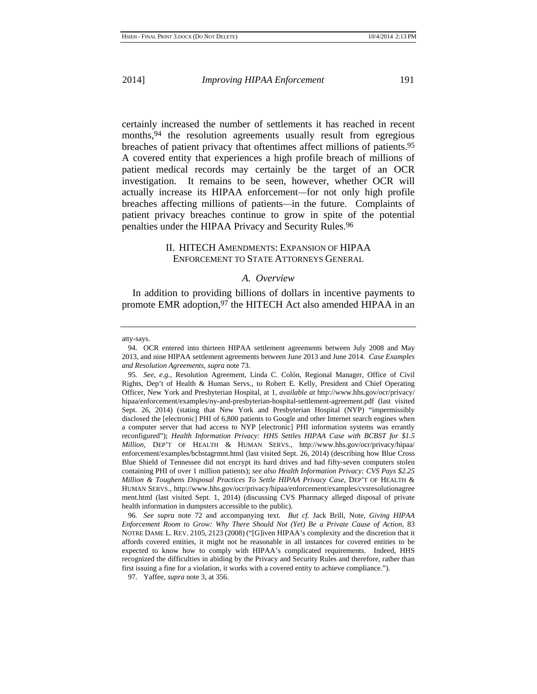certainly increased the number of settlements it has reached in recent months, <sup>94</sup> the resolution agreements usually result from egregious breaches of patient privacy that oftentimes affect millions of patients.95 A covered entity that experiences a high profile breach of millions of patient medical records may certainly be the target of an OCR investigation. It remains to be seen, however, whether OCR will actually increase its HIPAA enforcement*—*for not only high profile breaches affecting millions of patients*—*in the future. Complaints of patient privacy breaches continue to grow in spite of the potential penalties under the HIPAA Privacy and Security Rules.96

### II. HITECH AMENDMENTS: EXPANSION OF HIPAA ENFORCEMENT TO STATE ATTORNEYS GENERAL

### *A. Overview*

In addition to providing billions of dollars in incentive payments to promote EMR adoption,<sup>97</sup> the HITECH Act also amended HIPAA in an

atty-says.

96*. See supra* note 72 and accompanying text. *But cf.* Jack Brill, Note, *Giving HIPAA Enforcement Room to Grow: Why There Should Not (Yet) Be a Private Cause of Action*, 83 NOTRE DAME L. REV. 2105, 2123 (2008) ("[G]iven HIPAA's complexity and the discretion that it affords covered entities, it might not be reasonable in all instances for covered entities to be expected to know how to comply with HIPAA's complicated requirements. Indeed, HHS recognized the difficulties in abiding by the Privacy and Security Rules and therefore, rather than first issuing a fine for a violation, it works with a covered entity to achieve compliance.").

97. Yaffee, *supra* note 3, at 356.

<sup>94.</sup> OCR entered into thirteen HIPAA settlement agreements between July 2008 and May 2013, and nine HIPAA settlement agreements between June 2013 and June 2014. *Case Examples and Resolution Agreements*, *supra* note 73.

<sup>95</sup>*. See, e.g.*, Resolution Agreement, Linda C. Colón, Regional Manager, Office of Civil Rights, Dep't of Health & Human Servs., to Robert E. Kelly, President and Chief Operating Officer, New York and Presbyterian Hospital, at 1, *available at* http://www.hhs.gov/ocr/privacy/ hipaa/enforcement/examples/ny-and-presbyterian-hospital-settlement-agreement.pdf (last visited Sept. 26, 2014) (stating that New York and Presbyterian Hospital (NYP) "impermissibly disclosed the [electronic] PHI of 6,800 patients to Google and other Internet search engines when a computer server that had access to NYP [electronic] PHI information systems was errantly reconfigured"); *Health Information Privacy: HHS Settles HIPAA Case with BCBST for \$1.5 Million*, DEP'T OF HEALTH & HUMAN SERVS., http://www.hhs.gov/ocr/privacy/hipaa/ enforcement/examples/bcbstagrmnt.html (last visited Sept. 26, 2014) (describing how Blue Cross Blue Shield of Tennessee did not encrypt its hard drives and had fifty-seven computers stolen containing PHI of over 1 million patients); *see also Health Information Privacy: CVS Pays \$2.25 Million & Toughens Disposal Practices To Settle HIPAA Privacy Case*, DEP'T OF HEALTH & HUMAN SERVS., http://www.hhs.gov/ocr/privacy/hipaa/enforcement/examples/cvsresolutionagree ment.html (last visited Sept. 1, 2014) (discussing CVS Pharmacy alleged disposal of private health information in dumpsters accessible to the public).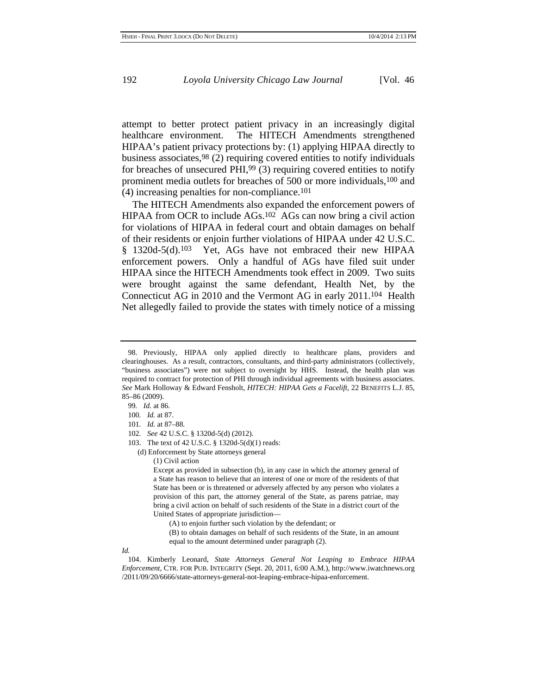attempt to better protect patient privacy in an increasingly digital healthcare environment. The HITECH Amendments strengthened HIPAA's patient privacy protections by: (1) applying HIPAA directly to business associates,98 (2) requiring covered entities to notify individuals for breaches of unsecured PHI,99 (3) requiring covered entities to notify prominent media outlets for breaches of 500 or more individuals,100 and (4) increasing penalties for non-compliance.101

The HITECH Amendments also expanded the enforcement powers of HIPAA from OCR to include AGs.102 AGs can now bring a civil action for violations of HIPAA in federal court and obtain damages on behalf of their residents or enjoin further violations of HIPAA under 42 U.S.C. § 1320d-5(d).103 Yet, AGs have not embraced their new HIPAA enforcement powers. Only a handful of AGs have filed suit under HIPAA since the HITECH Amendments took effect in 2009. Two suits were brought against the same defendant, Health Net, by the Connecticut AG in 2010 and the Vermont AG in early 2011.104 Health Net allegedly failed to provide the states with timely notice of a missing

- 99*. Id.* at 86.
- 100*. Id.* at 87.
- 101*. Id.* at 87–88.

- 103. The text of 42 U.S.C. § 1320d-5(d)(1) reads:
	- (d) Enforcement by State attorneys general
		- (1) Civil action

- (A) to enjoin further such violation by the defendant; or
- (B) to obtain damages on behalf of such residents of the State, in an amount equal to the amount determined under paragraph (2).

*Id.*

<sup>98.</sup> Previously, HIPAA only applied directly to healthcare plans, providers and clearinghouses. As a result, contractors, consultants, and third-party administrators (collectively, "business associates") were not subject to oversight by HHS. Instead, the health plan was required to contract for protection of PHI through individual agreements with business associates. *See* Mark Holloway & Edward Fensholt, *HITECH: HIPAA Gets a Facelift*, 22 BENEFITS L.J. 85, 85–86 (2009).

<sup>102</sup>*. See* 42 U.S.C. § 1320d-5(d) (2012).

Except as provided in subsection (b), in any case in which the attorney general of a State has reason to believe that an interest of one or more of the residents of that State has been or is threatened or adversely affected by any person who violates a provision of this part, the attorney general of the State, as parens patriae, may bring a civil action on behalf of such residents of the State in a district court of the United States of appropriate jurisdiction—

<sup>104.</sup> Kimberly Leonard, *State Attorneys General Not Leaping to Embrace HIPAA Enforcement*, CTR. FOR PUB. INTEGRITY (Sept. 20, 2011, 6:00 A.M.), http://www.iwatchnews.org /2011/09/20/6666/state-attorneys-general-not-leaping-embrace-hipaa-enforcement.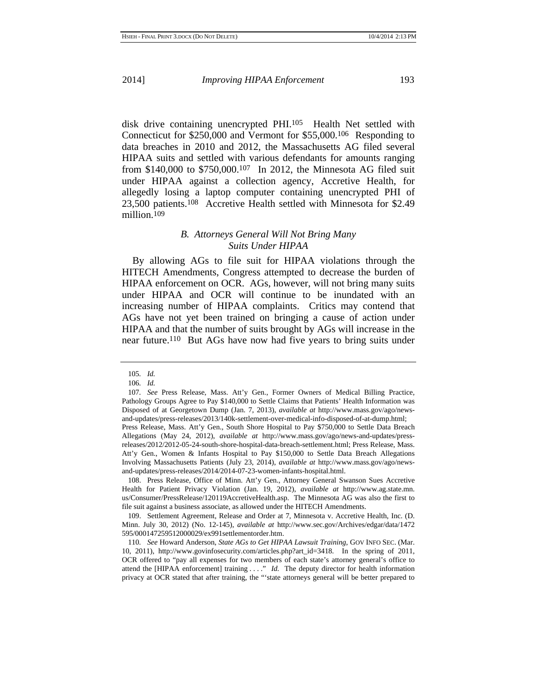disk drive containing unencrypted PHI.105 Health Net settled with Connecticut for \$250,000 and Vermont for \$55,000.106 Responding to data breaches in 2010 and 2012, the Massachusetts AG filed several HIPAA suits and settled with various defendants for amounts ranging from \$140,000 to \$750,000.107 In 2012, the Minnesota AG filed suit under HIPAA against a collection agency, Accretive Health, for allegedly losing a laptop computer containing unencrypted PHI of 23,500 patients.108 Accretive Health settled with Minnesota for \$2.49 million.109

### *B. Attorneys General Will Not Bring Many Suits Under HIPAA*

By allowing AGs to file suit for HIPAA violations through the HITECH Amendments, Congress attempted to decrease the burden of HIPAA enforcement on OCR. AGs, however, will not bring many suits under HIPAA and OCR will continue to be inundated with an increasing number of HIPAA complaints. Critics may contend that AGs have not yet been trained on bringing a cause of action under HIPAA and that the number of suits brought by AGs will increase in the near future.110 But AGs have now had five years to bring suits under

108. Press Release, Office of Minn. Att'y Gen., Attorney General Swanson Sues Accretive Health for Patient Privacy Violation (Jan. 19, 2012), *available at* http://www.ag.state.mn. us/Consumer/PressRelease/120119AccretiveHealth.asp. The Minnesota AG was also the first to file suit against a business associate, as allowed under the HITECH Amendments.

109. Settlement Agreement, Release and Order at 7, Minnesota v. Accretive Health, Inc. (D. Minn. July 30, 2012) (No. 12-145), *available at* http://www.sec.gov/Archives/edgar/data/1472 595/000147259512000029/ex991settlementorder.htm.

110*. See* Howard Anderson, *State AGs to Get HIPAA Lawsuit Training*, GOV INFO SEC. (Mar. 10, 2011), http://www.govinfosecurity.com/articles.php?art\_id=3418. In the spring of 2011, OCR offered to "pay all expenses for two members of each state's attorney general's office to attend the [HIPAA enforcement] training . . . ." *Id.* The deputy director for health information privacy at OCR stated that after training, the "'state attorneys general will be better prepared to

<sup>105</sup>*. Id.*

<sup>106</sup>*. Id.*

<sup>107</sup>*. See* Press Release, Mass. Att'y Gen., Former Owners of Medical Billing Practice, Pathology Groups Agree to Pay \$140,000 to Settle Claims that Patients' Health Information was Disposed of at Georgetown Dump (Jan. 7, 2013), *available at* http://www.mass.gov/ago/newsand-updates/press-releases/2013/140k-settlement-over-medical-info-disposed-of-at-dump.html; Press Release, Mass. Att'y Gen., South Shore Hospital to Pay \$750,000 to Settle Data Breach Allegations (May 24, 2012), *available at* http://www.mass.gov/ago/news-and-updates/pressreleases/2012/2012-05-24-south-shore-hospital-data-breach-settlement.html; Press Release, Mass. Att'y Gen., Women & Infants Hospital to Pay \$150,000 to Settle Data Breach Allegations Involving Massachusetts Patients (July 23, 2014), *available at* http://www.mass.gov/ago/newsand-updates/press-releases/2014/2014-07-23-women-infants-hospital.html.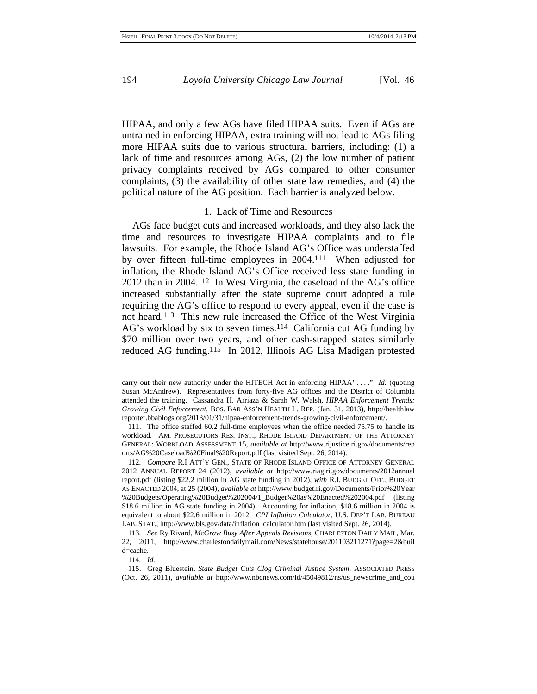HIPAA, and only a few AGs have filed HIPAA suits. Even if AGs are untrained in enforcing HIPAA, extra training will not lead to AGs filing more HIPAA suits due to various structural barriers, including: (1) a lack of time and resources among AGs, (2) the low number of patient privacy complaints received by AGs compared to other consumer complaints, (3) the availability of other state law remedies, and (4) the political nature of the AG position. Each barrier is analyzed below.

#### 1. Lack of Time and Resources

AGs face budget cuts and increased workloads, and they also lack the time and resources to investigate HIPAA complaints and to file lawsuits. For example, the Rhode Island AG's Office was understaffed by over fifteen full-time employees in 2004.111 When adjusted for inflation, the Rhode Island AG's Office received less state funding in 2012 than in 2004.112 In West Virginia, the caseload of the AG's office increased substantially after the state supreme court adopted a rule requiring the AG's office to respond to every appeal, even if the case is not heard.113 This new rule increased the Office of the West Virginia AG's workload by six to seven times.114 California cut AG funding by \$70 million over two years, and other cash-strapped states similarly reduced AG funding.115 In 2012, Illinois AG Lisa Madigan protested

114*. Id.*

carry out their new authority under the HITECH Act in enforcing HIPAA' . . . ." *Id.* (quoting Susan McAndrew). Representatives from forty-five AG offices and the District of Columbia attended the training. Cassandra H. Arriaza & Sarah W. Walsh, *HIPAA Enforcement Trends: Growing Civil Enforcement*, BOS. BAR ASS'N HEALTH L. REP. (Jan. 31, 2013), http://healthlaw reporter.bbablogs.org/2013/01/31/hipaa-enforcement-trends-growing-civil-enforcement/.

<sup>111.</sup> The office staffed 60.2 full-time employees when the office needed 75.75 to handle its workload. AM. PROSECUTORS RES. INST., RHODE ISLAND DEPARTMENT OF THE ATTORNEY GENERAL: WORKLOAD ASSESSMENT 15, *available at* http://www.rijustice.ri.gov/documents/rep orts/AG%20Caseload%20Final%20Report.pdf (last visited Sept. 26, 2014).

<sup>112</sup>*. Compare* R.I ATT'Y GEN., STATE OF RHODE ISLAND OFFICE OF ATTORNEY GENERAL 2012 ANNUAL REPORT 24 (2012), *available at* http://www.riag.ri.gov/documents/2012annual report.pdf (listing \$22.2 million in AG state funding in 2012), *with* R.I. BUDGET OFF., BUDGET AS ENACTED 2004, at 25 (2004), *available at* http://www.budget.ri.gov/Documents/Prior%20Year %20Budgets/Operating%20Budget%202004/1\_Budget%20as%20Enacted%202004.pdf (listing \$18.6 million in AG state funding in 2004). Accounting for inflation, \$18.6 million in 2004 is equivalent to about \$22.6 million in 2012. *CPI Inflation Calculator*, U.S. DEP'T LAB. BUREAU LAB. STAT., http://www.bls.gov/data/inflation\_calculator.htm (last visited Sept. 26, 2014).

<sup>113</sup>*. See* Ry Rivard, *McGraw Busy After Appeals Revisions*, CHARLESTON DAILY MAIL, Mar. 22, 2011, http://www.charlestondailymail.com/News/statehouse/201103211271?page=2&buil d=cache.

<sup>115.</sup> Greg Bluestein, *State Budget Cuts Clog Criminal Justice System*, ASSOCIATED PRESS (Oct. 26, 2011), *available at* http://www.nbcnews.com/id/45049812/ns/us\_newscrime\_and\_cou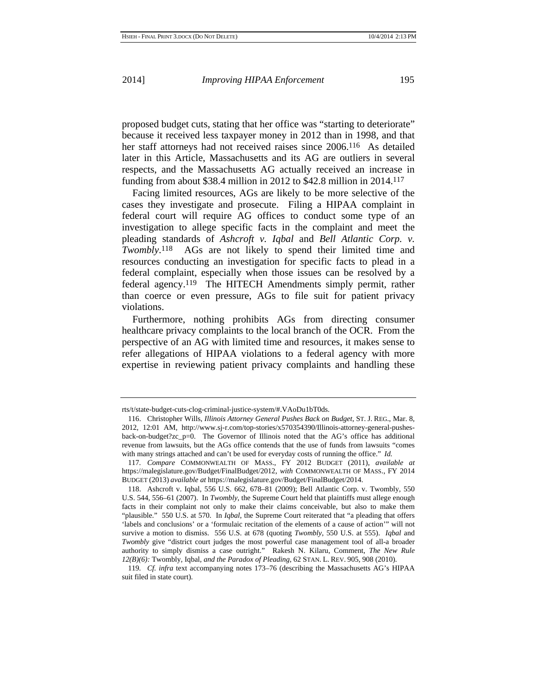proposed budget cuts, stating that her office was "starting to deteriorate" because it received less taxpayer money in 2012 than in 1998, and that her staff attorneys had not received raises since 2006.<sup>116</sup> As detailed later in this Article, Massachusetts and its AG are outliers in several respects, and the Massachusetts AG actually received an increase in funding from about \$38.4 million in 2012 to \$42.8 million in 2014.117

Facing limited resources, AGs are likely to be more selective of the cases they investigate and prosecute. Filing a HIPAA complaint in federal court will require AG offices to conduct some type of an investigation to allege specific facts in the complaint and meet the pleading standards of *Ashcroft v. Iqbal* and *Bell Atlantic Corp. v. Twombly*.118 AGs are not likely to spend their limited time and resources conducting an investigation for specific facts to plead in a federal complaint, especially when those issues can be resolved by a federal agency.119 The HITECH Amendments simply permit, rather than coerce or even pressure, AGs to file suit for patient privacy violations.

Furthermore, nothing prohibits AGs from directing consumer healthcare privacy complaints to the local branch of the OCR. From the perspective of an AG with limited time and resources, it makes sense to refer allegations of HIPAA violations to a federal agency with more expertise in reviewing patient privacy complaints and handling these

rts/t/state-budget-cuts-clog-criminal-justice-system/#.VAoDu1bT0ds.

<sup>116.</sup> Christopher Wills, *Illinois Attorney General Pushes Back on Budget*, ST. J. REG., Mar. 8, 2012, 12:01 AM, http://www.sj-r.com/top-stories/x570354390/Illinois-attorney-general-pushesback-on-budget?zc\_p=0. The Governor of Illinois noted that the AG's office has additional revenue from lawsuits, but the AGs office contends that the use of funds from lawsuits "comes with many strings attached and can't be used for everyday costs of running the office." *Id.*

<sup>117</sup>*. Compare* COMMONWEALTH OF MASS., FY 2012 BUDGET (2011), *available at* https://malegislature.gov/Budget/FinalBudget/2012, *with* COMMONWEALTH OF MASS., FY 2014 BUDGET (2013) *available at* https://malegislature.gov/Budget/FinalBudget/2014.

<sup>118.</sup> Ashcroft v. Iqbal, 556 U.S. 662, 678–81 (2009); Bell Atlantic Corp. v. Twombly*,* 550 U.S. 544, 556–61 (2007). In *Twombly*, the Supreme Court held that plaintiffs must allege enough facts in their complaint not only to make their claims conceivable, but also to make them "plausible." 550 U.S. at 570. In *Iqbal*, the Supreme Court reiterated that "a pleading that offers 'labels and conclusions' or a 'formulaic recitation of the elements of a cause of action'" will not survive a motion to dismiss. 556 U.S. at 678 (quoting *Twombly*, 550 U.S. at 555). *Iqbal* and *Twombly* give "district court judges the most powerful case management tool of all-a broader authority to simply dismiss a case outright." Rakesh N. Kilaru, Comment, *The New Rule 12(B)(6):* Twombly*,* Iqbal*, and the Paradox of Pleading*, 62 STAN. L. REV. 905, 908 (2010).

<sup>119</sup>*. Cf. infra* text accompanying notes 173–76 (describing the Massachusetts AG's HIPAA suit filed in state court).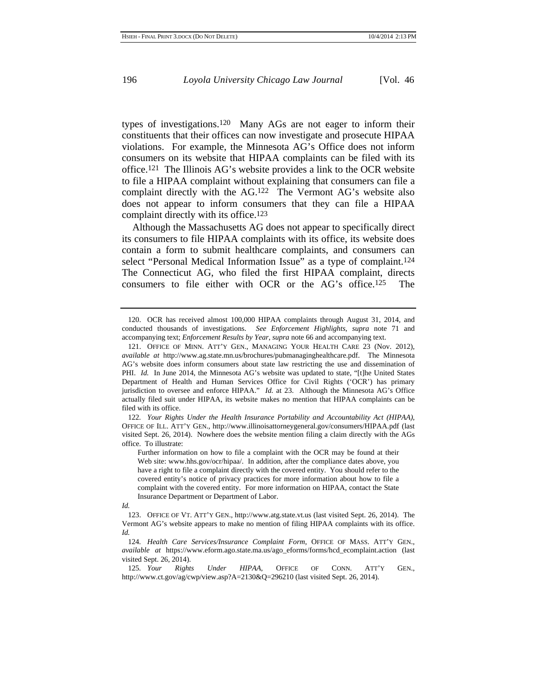types of investigations.120 Many AGs are not eager to inform their constituents that their offices can now investigate and prosecute HIPAA violations. For example, the Minnesota AG's Office does not inform consumers on its website that HIPAA complaints can be filed with its office.121 The Illinois AG's website provides a link to the OCR website to file a HIPAA complaint without explaining that consumers can file a complaint directly with the AG.122 The Vermont AG's website also does not appear to inform consumers that they can file a HIPAA complaint directly with its office.123

Although the Massachusetts AG does not appear to specifically direct its consumers to file HIPAA complaints with its office, its website does contain a form to submit healthcare complaints, and consumers can select "Personal Medical Information Issue" as a type of complaint.124 The Connecticut AG, who filed the first HIPAA complaint, directs consumers to file either with OCR or the AG's office.125 The

<sup>120.</sup> OCR has received almost 100,000 HIPAA complaints through August 31, 2014, and conducted thousands of investigations. *See Enforcement Highlights*, *supra* note 71 and accompanying text; *Enforcement Results by Year*, *supra* note 66 and accompanying text.

<sup>121.</sup> OFFICE OF MINN. ATT'Y GEN., MANAGING YOUR HEALTH CARE 23 (Nov. 2012), *available at* http://www.ag.state.mn.us/brochures/pubmanaginghealthcare.pdf. The Minnesota AG's website does inform consumers about state law restricting the use and dissemination of PHI. *Id.* In June 2014, the Minnesota AG's website was updated to state, "[t]he United States Department of Health and Human Services Office for Civil Rights ('OCR') has primary jurisdiction to oversee and enforce HIPAA." *Id.* at 23. Although the Minnesota AG's Office actually filed suit under HIPAA, its website makes no mention that HIPAA complaints can be filed with its office.

<sup>122</sup>*. Your Rights Under the Health Insurance Portability and Accountability Act (HIPAA)*, OFFICE OF ILL. ATT'Y GEN., http://www.illinoisattorneygeneral.gov/consumers/HIPAA.pdf (last visited Sept. 26, 2014). Nowhere does the website mention filing a claim directly with the AGs office. To illustrate:

Further information on how to file a complaint with the OCR may be found at their Web site: www.hhs.gov/ocr/hipaa/. In addition, after the compliance dates above, you have a right to file a complaint directly with the covered entity. You should refer to the covered entity's notice of privacy practices for more information about how to file a complaint with the covered entity. For more information on HIPAA, contact the State Insurance Department or Department of Labor.

*Id.*

<sup>123.</sup> OFFICE OF VT. ATT'Y GEN., http://www.atg.state.vt.us (last visited Sept. 26, 2014). The Vermont AG's website appears to make no mention of filing HIPAA complaints with its office. *Id.*

<sup>124</sup>*. Health Care Services/Insurance Complaint Form*, OFFICE OF MASS. ATT'Y GEN., *available at* https://www.eform.ago.state.ma.us/ago\_eforms/forms/hcd\_ecomplaint.action (last visited Sept. 26, 2014).

<sup>125</sup>*. Your Rights Under HIPAA*, OFFICE OF CONN. ATT'Y GEN., http://www.ct.gov/ag/cwp/view.asp?A=2130&Q=296210 (last visited Sept. 26, 2014).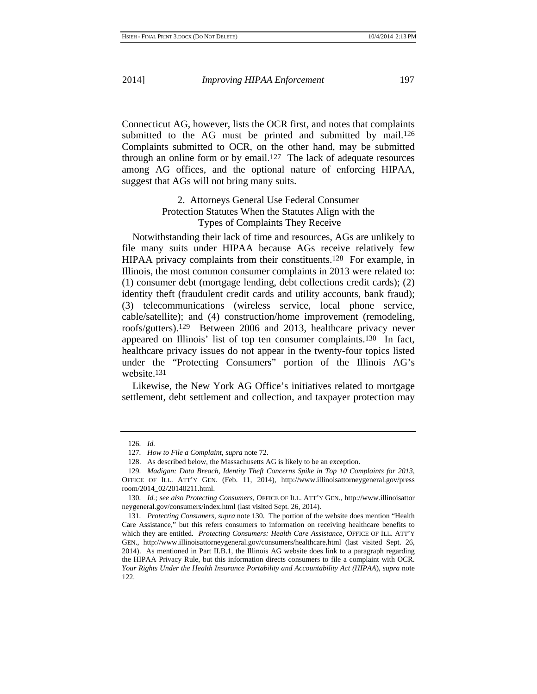Connecticut AG, however, lists the OCR first, and notes that complaints submitted to the AG must be printed and submitted by mail.<sup>126</sup> Complaints submitted to OCR, on the other hand, may be submitted through an online form or by email.<sup>127</sup> The lack of adequate resources among AG offices, and the optional nature of enforcing HIPAA, suggest that AGs will not bring many suits.

## 2. Attorneys General Use Federal Consumer Protection Statutes When the Statutes Align with the Types of Complaints They Receive

Notwithstanding their lack of time and resources, AGs are unlikely to file many suits under HIPAA because AGs receive relatively few HIPAA privacy complaints from their constituents.128 For example, in Illinois, the most common consumer complaints in 2013 were related to: (1) consumer debt (mortgage lending, debt collections credit cards); (2) identity theft (fraudulent credit cards and utility accounts, bank fraud); (3) telecommunications (wireless service, local phone service, cable/satellite); and (4) construction/home improvement (remodeling, roofs/gutters).129 Between 2006 and 2013, healthcare privacy never appeared on Illinois' list of top ten consumer complaints.130 In fact, healthcare privacy issues do not appear in the twenty-four topics listed under the "Protecting Consumers" portion of the Illinois AG's website.131

 Likewise, the New York AG Office's initiatives related to mortgage settlement, debt settlement and collection, and taxpayer protection may

<sup>126</sup>*. Id.*

<sup>127</sup>*. How to File a Complaint*, *supra* note 72.

<sup>128.</sup> As described below, the Massachusetts AG is likely to be an exception.

<sup>129</sup>*. Madigan: Data Breach, Identity Theft Concerns Spike in Top 10 Complaints for 2013*, OFFICE OF ILL. ATT'Y GEN. (Feb. 11, 2014), http://www.illinoisattorneygeneral.gov/press room/2014\_02/20140211.html.

<sup>130</sup>*. Id.*; *see also Protecting Consumers*, OFFICE OF ILL. ATT'Y GEN., http://www.illinoisattor neygeneral.gov/consumers/index.html (last visited Sept. 26, 2014).

<sup>131</sup>*. Protecting Consumers*, *supra* note 130. The portion of the website does mention "Health Care Assistance," but this refers consumers to information on receiving healthcare benefits to which they are entitled. *Protecting Consumers: Health Care Assistance*, OFFICE OF ILL. ATT'Y GEN., http://www.illinoisattorneygeneral.gov/consumers/healthcare.html (last visited Sept. 26, 2014). As mentioned in Part II.B.1, the Illinois AG website does link to a paragraph regarding the HIPAA Privacy Rule, but this information directs consumers to file a complaint with OCR. *Your Rights Under the Health Insurance Portability and Accountability Act (HIPAA*), *supra* note 122.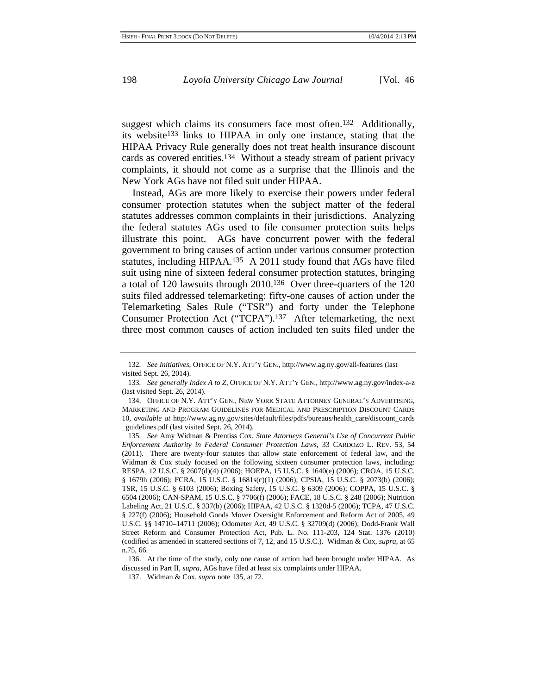suggest which claims its consumers face most often.<sup>132</sup> Additionally, its website133 links to HIPAA in only one instance, stating that the HIPAA Privacy Rule generally does not treat health insurance discount cards as covered entities.134 Without a steady stream of patient privacy complaints, it should not come as a surprise that the Illinois and the New York AGs have not filed suit under HIPAA.

Instead, AGs are more likely to exercise their powers under federal consumer protection statutes when the subject matter of the federal statutes addresses common complaints in their jurisdictions. Analyzing the federal statutes AGs used to file consumer protection suits helps illustrate this point. AGs have concurrent power with the federal government to bring causes of action under various consumer protection statutes, including HIPAA.135 A 2011 study found that AGs have filed suit using nine of sixteen federal consumer protection statutes, bringing a total of 120 lawsuits through 2010.136 Over three-quarters of the 120 suits filed addressed telemarketing: fifty-one causes of action under the Telemarketing Sales Rule ("TSR") and forty under the Telephone Consumer Protection Act ("TCPA").137 After telemarketing, the next three most common causes of action included ten suits filed under the

<sup>132</sup>*. See Initiatives*, OFFICE OF N.Y. ATT'Y GEN., http://www.ag.ny.gov/all-features (last visited Sept. 26, 2014).

<sup>133</sup>*. See generally Index A to Z*, OFFICE OF N.Y. ATT'Y GEN., http://www.ag.ny.gov/index-a-z (last visited Sept. 26, 2014).

<sup>134.</sup> OFFICE OF N.Y. ATT'Y GEN., NEW YORK STATE ATTORNEY GENERAL'S ADVERTISING, MARKETING AND PROGRAM GUIDELINES FOR MEDICAL AND PRESCRIPTION DISCOUNT CARDS 10, *available at* http://www.ag.ny.gov/sites/default/files/pdfs/bureaus/health\_care/discount\_cards \_guidelines.pdf (last visited Sept. 26, 2014).

<sup>135</sup>*. See* Amy Widman & Prentiss Cox, *State Attorneys General's Use of Concurrent Public Enforcement Authority in Federal Consumer Protection Laws*, 33 CARDOZO L. REV. 53, 54 (2011). There are twenty-four statutes that allow state enforcement of federal law, and the Widman & Cox study focused on the following sixteen consumer protection laws, including: RESPA, 12 U.S.C. § 2607(d)(4) (2006); HOEPA, 15 U.S.C. § 1640(e) (2006); CROA, 15 U.S.C. § 1679h (2006); FCRA, 15 U.S.C. § 1681s(c)(1) (2006); CPSIA, 15 U.S.C. § 2073(b) (2006); TSR, 15 U.S.C. § 6103 (2006); Boxing Safety, 15 U.S.C. § 6309 (2006); COPPA, 15 U.S.C. § 6504 (2006); CAN-SPAM, 15 U.S.C. § 7706(f) (2006); FACE, 18 U.S.C. § 248 (2006); Nutrition Labeling Act, 21 U.S.C. § 337(b) (2006); HIPAA, 42 U.S.C. § 1320d-5 (2006); TCPA, 47 U.S.C. § 227(f) (2006); Household Goods Mover Oversight Enforcement and Reform Act of 2005, 49 U.S.C. §§ 14710–14711 (2006); Odometer Act, 49 U.S.C. § 32709(d) (2006); Dodd-Frank Wall Street Reform and Consumer Protection Act, Pub. L. No. 111-203, 124 Stat. 1376 (2010) (codified as amended in scattered sections of 7, 12, and 15 U.S.C.). Widman & Cox, *supra*, at 65 n.75, 66.

<sup>136.</sup> At the time of the study, only one cause of action had been brought under HIPAA. As discussed in Part II, *supra*, AGs have filed at least six complaints under HIPAA.

<sup>137.</sup> Widman & Cox, *supra* note 135, at 72.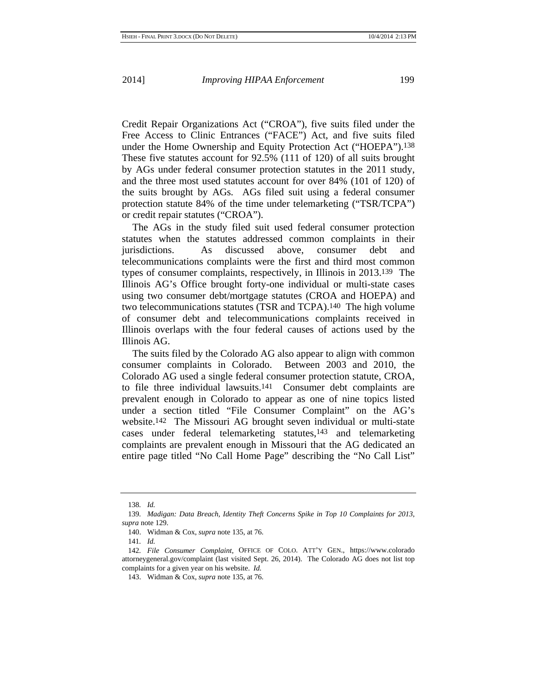Credit Repair Organizations Act ("CROA"), five suits filed under the Free Access to Clinic Entrances ("FACE") Act, and five suits filed under the Home Ownership and Equity Protection Act ("HOEPA").138 These five statutes account for 92.5% (111 of 120) of all suits brought by AGs under federal consumer protection statutes in the 2011 study, and the three most used statutes account for over 84% (101 of 120) of the suits brought by AGs. AGs filed suit using a federal consumer protection statute 84% of the time under telemarketing ("TSR/TCPA") or credit repair statutes ("CROA").

The AGs in the study filed suit used federal consumer protection statutes when the statutes addressed common complaints in their jurisdictions. As discussed above, consumer debt and telecommunications complaints were the first and third most common types of consumer complaints, respectively, in Illinois in 2013.139 The Illinois AG's Office brought forty-one individual or multi-state cases using two consumer debt/mortgage statutes (CROA and HOEPA) and two telecommunications statutes (TSR and TCPA).140 The high volume of consumer debt and telecommunications complaints received in Illinois overlaps with the four federal causes of actions used by the Illinois AG.

The suits filed by the Colorado AG also appear to align with common consumer complaints in Colorado. Between 2003 and 2010, the Colorado AG used a single federal consumer protection statute, CROA, to file three individual lawsuits.141 Consumer debt complaints are prevalent enough in Colorado to appear as one of nine topics listed under a section titled "File Consumer Complaint" on the AG's website.142 The Missouri AG brought seven individual or multi-state cases under federal telemarketing statutes,143 and telemarketing complaints are prevalent enough in Missouri that the AG dedicated an entire page titled "No Call Home Page" describing the "No Call List"

<sup>138</sup>*. Id.*

<sup>139</sup>*. Madigan: Data Breach, Identity Theft Concerns Spike in Top 10 Complaints for 2013*, *supra* note 129.

<sup>140.</sup> Widman & Cox, *supra* note 135, at 76.

<sup>141</sup>*. Id.*

<sup>142</sup>*. File Consumer Complaint*, OFFICE OF COLO. ATT'Y GEN., https://www.colorado attorneygeneral.gov/complaint (last visited Sept. 26, 2014). The Colorado AG does not list top complaints for a given year on his website. *Id.*

<sup>143.</sup> Widman & Cox, *supra* note 135, at 76.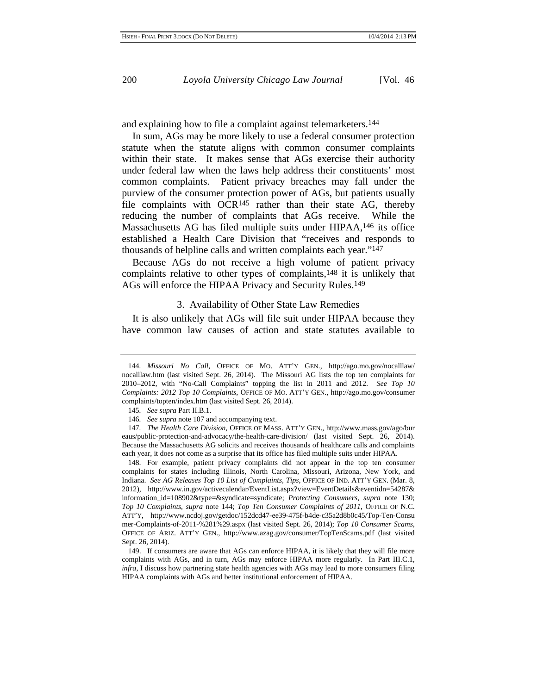and explaining how to file a complaint against telemarketers.144

In sum, AGs may be more likely to use a federal consumer protection statute when the statute aligns with common consumer complaints within their state. It makes sense that AGs exercise their authority under federal law when the laws help address their constituents' most common complaints. Patient privacy breaches may fall under the purview of the consumer protection power of AGs, but patients usually file complaints with OCR145 rather than their state AG, thereby reducing the number of complaints that AGs receive. While the Massachusetts AG has filed multiple suits under HIPAA,146 its office established a Health Care Division that "receives and responds to thousands of helpline calls and written complaints each year."147

Because AGs do not receive a high volume of patient privacy complaints relative to other types of complaints,148 it is unlikely that AGs will enforce the HIPAA Privacy and Security Rules.149

#### 3. Availability of Other State Law Remedies

It is also unlikely that AGs will file suit under HIPAA because they have common law causes of action and state statutes available to

148. For example, patient privacy complaints did not appear in the top ten consumer complaints for states including Illinois, North Carolina, Missouri, Arizona, New York, and Indiana. *See AG Releases Top 10 List of Complaints, Tips*, OFFICE OF IND. ATT'Y GEN. (Mar. 8, 2012), http://www.in.gov/activecalendar/EventList.aspx?view=EventDetails&eventidn=54287& information\_id=108902&type=&syndicate=syndicate; *Protecting Consumers*, *supra* note 130; *Top 10 Complaints*, *supra* note 144; *Top Ten Consumer Complaints of 2011*, OFFICE OF N.C. ATT'Y, http://www.ncdoj.gov/getdoc/152dcd47-ee39-475f-b4de-c35a2d8b0c45/Top-Ten-Consu mer-Complaints-of-2011-%281%29.aspx (last visited Sept. 26, 2014); *Top 10 Consumer Scams*, OFFICE OF ARIZ. ATT'Y GEN., http://www.azag.gov/consumer/TopTenScams.pdf (last visited Sept. 26, 2014).

149. If consumers are aware that AGs can enforce HIPAA, it is likely that they will file more complaints with AGs, and in turn, AGs may enforce HIPAA more regularly. In Part III.C.1, *infra*, I discuss how partnering state health agencies with AGs may lead to more consumers filing HIPAA complaints with AGs and better institutional enforcement of HIPAA.

<sup>144</sup>*. Missouri No Call*, OFFICE OF MO. ATT'Y GEN., http://ago.mo.gov/nocalllaw/ nocalllaw.htm (last visited Sept. 26, 2014). The Missouri AG lists the top ten complaints for 2010–2012, with "No-Call Complaints" topping the list in 2011 and 2012. *See Top 10 Complaints: 2012 Top 10 Complaints*, OFFICE OF MO. ATT'Y GEN., http://ago.mo.gov/consumer complaints/topten/index.htm (last visited Sept. 26, 2014).

<sup>145</sup>*. See supra* Part II.B.1.

<sup>146</sup>*. See supra* note 107 and accompanying text.

<sup>147</sup>*. The Health Care Division*, OFFICE OF MASS. ATT'Y GEN., http://www.mass.gov/ago/bur eaus/public-protection-and-advocacy/the-health-care-division/ (last visited Sept. 26, 2014). Because the Massachusetts AG solicits and receives thousands of healthcare calls and complaints each year, it does not come as a surprise that its office has filed multiple suits under HIPAA.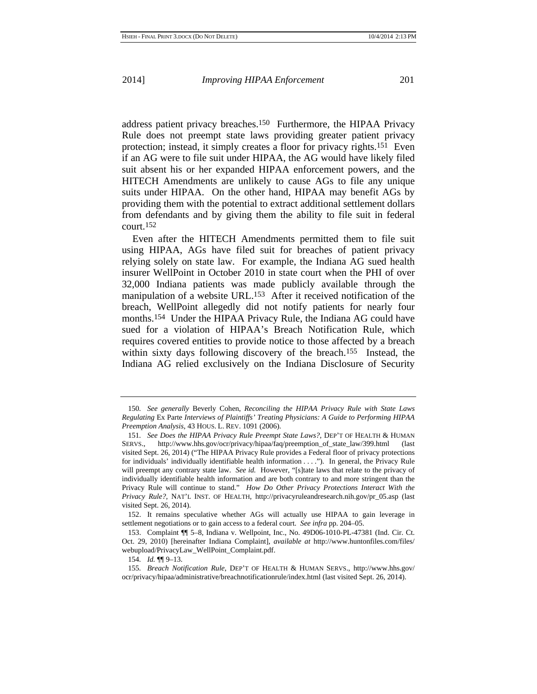address patient privacy breaches.150 Furthermore, the HIPAA Privacy Rule does not preempt state laws providing greater patient privacy protection; instead, it simply creates a floor for privacy rights.151 Even if an AG were to file suit under HIPAA, the AG would have likely filed suit absent his or her expanded HIPAA enforcement powers, and the HITECH Amendments are unlikely to cause AGs to file any unique suits under HIPAA. On the other hand, HIPAA may benefit AGs by providing them with the potential to extract additional settlement dollars from defendants and by giving them the ability to file suit in federal court.152

Even after the HITECH Amendments permitted them to file suit using HIPAA, AGs have filed suit for breaches of patient privacy relying solely on state law. For example, the Indiana AG sued health insurer WellPoint in October 2010 in state court when the PHI of over 32,000 Indiana patients was made publicly available through the manipulation of a website URL.153 After it received notification of the breach, WellPoint allegedly did not notify patients for nearly four months.154 Under the HIPAA Privacy Rule, the Indiana AG could have sued for a violation of HIPAA's Breach Notification Rule, which requires covered entities to provide notice to those affected by a breach within sixty days following discovery of the breach.<sup>155</sup> Instead, the Indiana AG relied exclusively on the Indiana Disclosure of Security

<sup>150</sup>*. See generally* Beverly Cohen, *Reconciling the HIPAA Privacy Rule with State Laws Regulating* Ex Parte *Interviews of Plaintiffs' Treating Physicians: A Guide to Performing HIPAA Preemption Analysis*, 43 HOUS. L. REV. 1091 (2006).

<sup>151</sup>*. See Does the HIPAA Privacy Rule Preempt State Laws?*, DEP'T OF HEALTH & HUMAN SERVS., http://www.hhs.gov/ocr/privacy/hipaa/faq/preemption of state law/399.html (last visited Sept. 26, 2014) ("The HIPAA Privacy Rule provides a Federal floor of privacy protections for individuals' individually identifiable health information . . . ."). In general, the Privacy Rule will preempt any contrary state law. *See id.* However, "[s]tate laws that relate to the privacy of individually identifiable health information and are both contrary to and more stringent than the Privacy Rule will continue to stand." *How Do Other Privacy Protections Interact With the Privacy Rule?*, NAT'L INST. OF HEALTH, http://privacyruleandresearch.nih.gov/pr\_05.asp (last visited Sept. 26, 2014).

<sup>152.</sup> It remains speculative whether AGs will actually use HIPAA to gain leverage in settlement negotiations or to gain access to a federal court. *See infra* pp. 204–05.

<sup>153.</sup> Complaint ¶¶ 5–8, Indiana v. Wellpoint, Inc., No. 49D06-1010-PL-47381 (Ind. Cir. Ct. Oct. 29, 2010) [hereinafter Indiana Complaint], *available at* http://www.huntonfiles.com/files/ webupload/PrivacyLaw\_WellPoint\_Complaint.pdf.

<sup>154</sup>*. Id.* ¶¶ 9–13.

<sup>155</sup>*. Breach Notification Rule*, DEP'T OF HEALTH & HUMAN SERVS., http://www.hhs.gov/ ocr/privacy/hipaa/administrative/breachnotificationrule/index.html (last visited Sept. 26, 2014).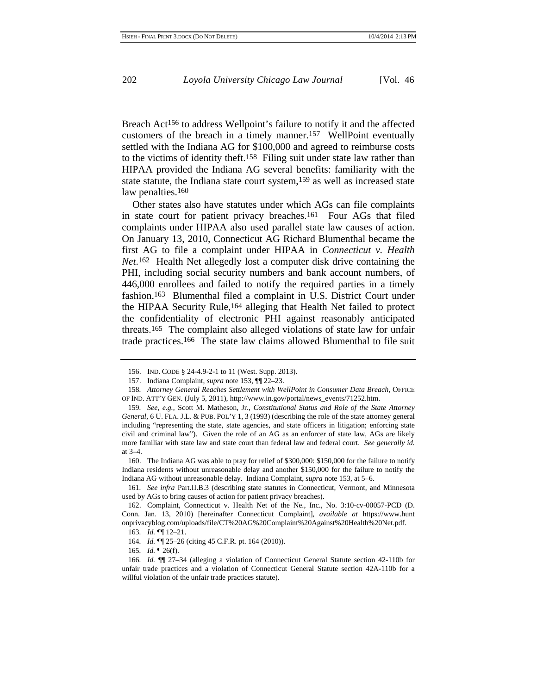Breach Act156 to address Wellpoint's failure to notify it and the affected customers of the breach in a timely manner.157 WellPoint eventually settled with the Indiana AG for \$100,000 and agreed to reimburse costs to the victims of identity theft.158 Filing suit under state law rather than HIPAA provided the Indiana AG several benefits: familiarity with the state statute, the Indiana state court system,159 as well as increased state law penalties.<sup>160</sup>

Other states also have statutes under which AGs can file complaints in state court for patient privacy breaches.161 Four AGs that filed complaints under HIPAA also used parallel state law causes of action. On January 13, 2010, Connecticut AG Richard Blumenthal became the first AG to file a complaint under HIPAA in *Connecticut v. Health Net*.162 Health Net allegedly lost a computer disk drive containing the PHI, including social security numbers and bank account numbers, of 446,000 enrollees and failed to notify the required parties in a timely fashion.163 Blumenthal filed a complaint in U.S. District Court under the HIPAA Security Rule,164 alleging that Health Net failed to protect the confidentiality of electronic PHI against reasonably anticipated threats.165 The complaint also alleged violations of state law for unfair trade practices.166 The state law claims allowed Blumenthal to file suit

<sup>156.</sup> IND. CODE § 24-4.9-2-1 to 11 (West. Supp. 2013).

<sup>157.</sup> Indiana Complaint, *supra* note 153, ¶¶ 22–23.

<sup>158</sup>*. Attorney General Reaches Settlement with WellPoint in Consumer Data Breach*, OFFICE OF IND. ATT'Y GEN. (July 5, 2011), http://www.in.gov/portal/news\_events/71252.htm.

<sup>159</sup>*. See, e.g.*, Scott M. Matheson, Jr., *Constitutional Status and Role of the State Attorney General*, 6 U. FLA. J.L. & PUB. POL'Y 1, 3 (1993) (describing the role of the state attorney general including "representing the state, state agencies, and state officers in litigation; enforcing state civil and criminal law"). Given the role of an AG as an enforcer of state law, AGs are likely more familiar with state law and state court than federal law and federal court. *See generally id.* at 3–4.

<sup>160.</sup> The Indiana AG was able to pray for relief of \$300,000: \$150,000 for the failure to notify Indiana residents without unreasonable delay and another \$150,000 for the failure to notify the Indiana AG without unreasonable delay. Indiana Complaint, *supra* note 153, at 5–6.

<sup>161</sup>*. See infra* Part.II.B.3 (describing state statutes in Connecticut, Vermont, and Minnesota used by AGs to bring causes of action for patient privacy breaches).

<sup>162.</sup> Complaint, Connecticut v. Health Net of the Ne., Inc., No. 3:10-cv-00057-PCD (D. Conn. Jan. 13, 2010) [hereinafter Connecticut Complaint], *available at* https://www.hunt onprivacyblog.com/uploads/file/CT%20AG%20Complaint%20Against%20Health%20Net.pdf.

<sup>163</sup>*. Id.* ¶¶ 12–21.

<sup>164</sup>*. Id.* ¶¶ 25–26 (citing 45 C.F.R. pt. 164 (2010)).

<sup>165</sup>*. Id.* ¶ 26(f).

<sup>166</sup>*. Id.* ¶¶ 27–34 (alleging a violation of Connecticut General Statute section 42-110b for unfair trade practices and a violation of Connecticut General Statute section 42A-110b for a willful violation of the unfair trade practices statute).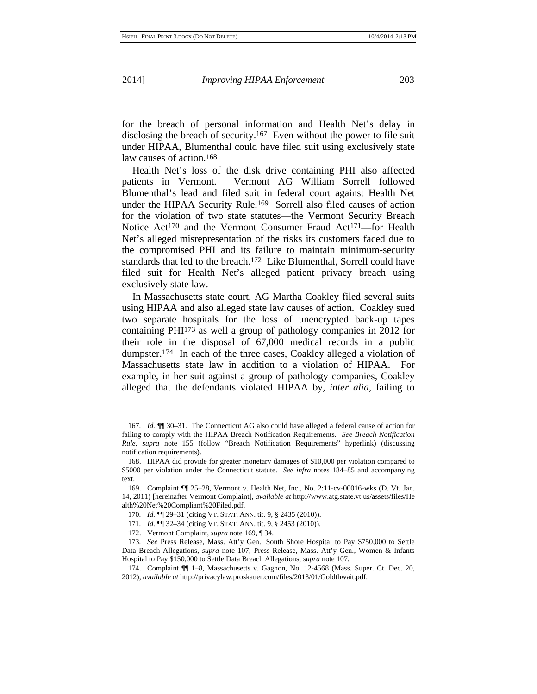for the breach of personal information and Health Net's delay in disclosing the breach of security.167 Even without the power to file suit under HIPAA, Blumenthal could have filed suit using exclusively state law causes of action.168

Health Net's loss of the disk drive containing PHI also affected patients in Vermont. Vermont AG William Sorrell followed Blumenthal's lead and filed suit in federal court against Health Net under the HIPAA Security Rule.169 Sorrell also filed causes of action for the violation of two state statutes—the Vermont Security Breach Notice Act<sup>170</sup> and the Vermont Consumer Fraud Act<sup>171</sup>—for Health Net's alleged misrepresentation of the risks its customers faced due to the compromised PHI and its failure to maintain minimum-security standards that led to the breach.172 Like Blumenthal, Sorrell could have filed suit for Health Net's alleged patient privacy breach using exclusively state law.

In Massachusetts state court, AG Martha Coakley filed several suits using HIPAA and also alleged state law causes of action. Coakley sued two separate hospitals for the loss of unencrypted back-up tapes containing PHI173 as well a group of pathology companies in 2012 for their role in the disposal of 67,000 medical records in a public dumpster.174 In each of the three cases, Coakley alleged a violation of Massachusetts state law in addition to a violation of HIPAA. For example, in her suit against a group of pathology companies, Coakley alleged that the defendants violated HIPAA by, *inter alia*, failing to

172. Vermont Complaint, *supra* note 169, ¶ 34.

<sup>167</sup>*. Id.* ¶¶ 30–31. The Connecticut AG also could have alleged a federal cause of action for failing to comply with the HIPAA Breach Notification Requirements. *See Breach Notification Rule*, *supra* note 155 (follow "Breach Notification Requirements" hyperlink) (discussing notification requirements).

<sup>168.</sup> HIPAA did provide for greater monetary damages of \$10,000 per violation compared to \$5000 per violation under the Connecticut statute. *See infra* notes 184–85 and accompanying text.

<sup>169.</sup> Complaint ¶¶ 25–28, Vermont v. Health Net, Inc., No. 2:11-cv-00016-wks (D. Vt. Jan. 14, 2011) [hereinafter Vermont Complaint], *available at* http://www.atg.state.vt.us/assets/files/He alth%20Net%20Compliant%20Filed.pdf.

<sup>170</sup>*. Id.* ¶¶ 29–31 (citing VT. STAT. ANN. tit. 9, § 2435 (2010)).

<sup>171</sup>*. Id.* ¶¶ 32–34 (citing VT. STAT. ANN. tit. 9, § 2453 (2010)).

<sup>173</sup>*. See* Press Release, Mass. Att'y Gen., South Shore Hospital to Pay \$750,000 to Settle Data Breach Allegations, *supra* note 107; Press Release, Mass. Att'y Gen., Women & Infants Hospital to Pay \$150,000 to Settle Data Breach Allegations, *supra* note 107.

<sup>174.</sup> Complaint ¶¶ 1–8, Massachusetts v. Gagnon, No. 12-4568 (Mass. Super. Ct. Dec. 20, 2012), *available at* http://privacylaw.proskauer.com/files/2013/01/Goldthwait.pdf.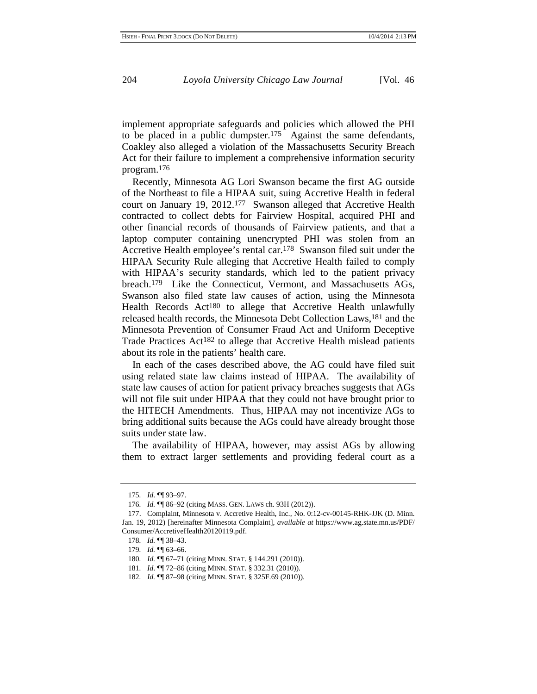implement appropriate safeguards and policies which allowed the PHI to be placed in a public dumpster.175 Against the same defendants, Coakley also alleged a violation of the Massachusetts Security Breach Act for their failure to implement a comprehensive information security program.176

Recently, Minnesota AG Lori Swanson became the first AG outside of the Northeast to file a HIPAA suit, suing Accretive Health in federal court on January 19, 2012.177 Swanson alleged that Accretive Health contracted to collect debts for Fairview Hospital, acquired PHI and other financial records of thousands of Fairview patients, and that a laptop computer containing unencrypted PHI was stolen from an Accretive Health employee's rental car.178 Swanson filed suit under the HIPAA Security Rule alleging that Accretive Health failed to comply with HIPAA's security standards, which led to the patient privacy breach.179 Like the Connecticut, Vermont, and Massachusetts AGs, Swanson also filed state law causes of action, using the Minnesota Health Records Act180 to allege that Accretive Health unlawfully released health records, the Minnesota Debt Collection Laws,181 and the Minnesota Prevention of Consumer Fraud Act and Uniform Deceptive Trade Practices Act182 to allege that Accretive Health mislead patients about its role in the patients' health care.

In each of the cases described above, the AG could have filed suit using related state law claims instead of HIPAA. The availability of state law causes of action for patient privacy breaches suggests that AGs will not file suit under HIPAA that they could not have brought prior to the HITECH Amendments. Thus, HIPAA may not incentivize AGs to bring additional suits because the AGs could have already brought those suits under state law.

The availability of HIPAA, however, may assist AGs by allowing them to extract larger settlements and providing federal court as a

<sup>175</sup>*. Id.* ¶¶ 93–97.

<sup>176</sup>*. Id.* ¶¶ 86–92 (citing MASS. GEN. LAWS ch. 93H (2012)).

<sup>177.</sup> Complaint, Minnesota v. Accretive Health, Inc., No. 0:12-cv-00145-RHK-JJK (D. Minn. Jan. 19, 2012) [hereinafter Minnesota Complaint], *available at* https://www.ag.state.mn.us/PDF/ Consumer/AccretiveHealth20120119.pdf.

<sup>178</sup>*. Id.* ¶¶ 38–43.

<sup>179</sup>*. Id.* ¶¶ 63–66.

<sup>180</sup>*. Id.* ¶¶ 67–71 (citing MINN. STAT. § 144.291 (2010)).

<sup>181</sup>*. Id*. ¶¶ 72–86 (citing MINN. STAT. § 332.31 (2010)).

<sup>182</sup>*. Id.* ¶¶ 87–98 (citing MINN. STAT. § 325F.69 (2010)).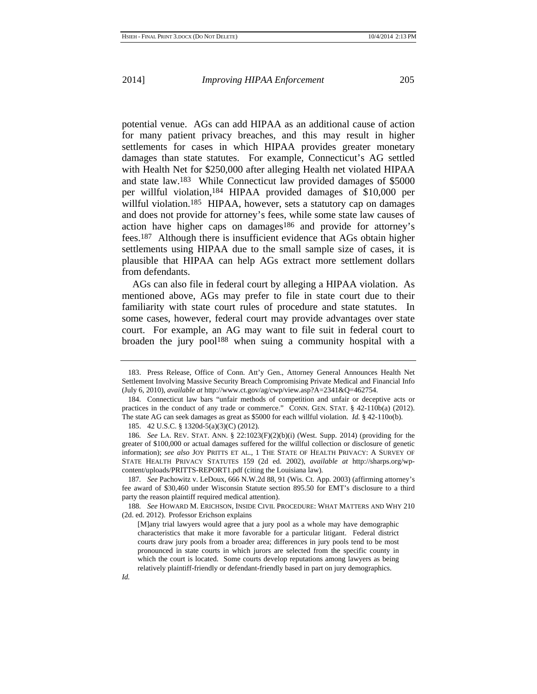potential venue. AGs can add HIPAA as an additional cause of action for many patient privacy breaches, and this may result in higher settlements for cases in which HIPAA provides greater monetary damages than state statutes. For example, Connecticut's AG settled with Health Net for \$250,000 after alleging Health net violated HIPAA and state law.183 While Connecticut law provided damages of \$5000 per willful violation,184 HIPAA provided damages of \$10,000 per willful violation.<sup>185</sup> HIPAA, however, sets a statutory cap on damages and does not provide for attorney's fees, while some state law causes of action have higher caps on damages186 and provide for attorney's fees.187 Although there is insufficient evidence that AGs obtain higher settlements using HIPAA due to the small sample size of cases, it is plausible that HIPAA can help AGs extract more settlement dollars from defendants.

AGs can also file in federal court by alleging a HIPAA violation. As mentioned above, AGs may prefer to file in state court due to their familiarity with state court rules of procedure and state statutes. In some cases, however, federal court may provide advantages over state court. For example, an AG may want to file suit in federal court to broaden the jury pool188 when suing a community hospital with a

<sup>183.</sup> Press Release, Office of Conn. Att'y Gen., Attorney General Announces Health Net Settlement Involving Massive Security Breach Compromising Private Medical and Financial Info (July 6, 2010), *available at* http://www.ct.gov/ag/cwp/view.asp?A=2341&Q=462754.

<sup>184.</sup> Connecticut law bars "unfair methods of competition and unfair or deceptive acts or practices in the conduct of any trade or commerce." CONN. GEN. STAT. § 42-110b(a) (2012). The state AG can seek damages as great as \$5000 for each willful violation. *Id.* § 42-110o(b).

<sup>185. 42</sup> U.S.C. § 1320d-5(a)(3)(C) (2012).

<sup>186</sup>*. See* LA. REV. STAT. ANN. § 22:1023(F)(2)(b)(i) (West. Supp. 2014) (providing for the greater of \$100,000 or actual damages suffered for the willful collection or disclosure of genetic information); *see also* JOY PRITTS ET AL., 1 THE STATE OF HEALTH PRIVACY: A SURVEY OF STATE HEALTH PRIVACY STATUTES 159 (2d ed. 2002), *available at* http://sharps.org/wpcontent/uploads/PRITTS-REPORT1.pdf (citing the Louisiana law).

<sup>187</sup>*. See* Pachowitz v. LeDoux, 666 N.W.2d 88, 91 (Wis. Ct. App. 2003) (affirming attorney's fee award of \$30,460 under Wisconsin Statute section 895.50 for EMT's disclosure to a third party the reason plaintiff required medical attention).

<sup>188</sup>*. See* HOWARD M. ERICHSON, INSIDE CIVIL PROCEDURE: WHAT MATTERS AND WHY 210 (2d. ed. 2012). Professor Erichson explains

<sup>[</sup>M]any trial lawyers would agree that a jury pool as a whole may have demographic characteristics that make it more favorable for a particular litigant. Federal district courts draw jury pools from a broader area; differences in jury pools tend to be most pronounced in state courts in which jurors are selected from the specific county in which the court is located. Some courts develop reputations among lawyers as being relatively plaintiff-friendly or defendant-friendly based in part on jury demographics.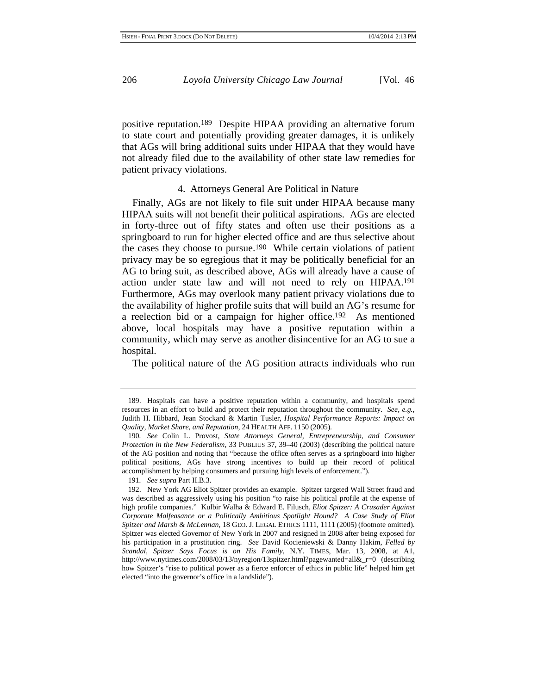positive reputation.189 Despite HIPAA providing an alternative forum to state court and potentially providing greater damages, it is unlikely that AGs will bring additional suits under HIPAA that they would have not already filed due to the availability of other state law remedies for patient privacy violations.

#### 4. Attorneys General Are Political in Nature

Finally, AGs are not likely to file suit under HIPAA because many HIPAA suits will not benefit their political aspirations. AGs are elected in forty-three out of fifty states and often use their positions as a springboard to run for higher elected office and are thus selective about the cases they choose to pursue.190 While certain violations of patient privacy may be so egregious that it may be politically beneficial for an AG to bring suit, as described above, AGs will already have a cause of action under state law and will not need to rely on HIPAA.191 Furthermore, AGs may overlook many patient privacy violations due to the availability of higher profile suits that will build an AG's resume for a reelection bid or a campaign for higher office.192 As mentioned above, local hospitals may have a positive reputation within a community, which may serve as another disincentive for an AG to sue a hospital.

The political nature of the AG position attracts individuals who run

<sup>189.</sup> Hospitals can have a positive reputation within a community, and hospitals spend resources in an effort to build and protect their reputation throughout the community. *See, e.g.*, Judith H. Hibbard, Jean Stockard & Martin Tusler, *Hospital Performance Reports: Impact on Quality, Market Share, and Reputation*, 24 HEALTH AFF. 1150 (2005).

<sup>190</sup>*. See* Colin L. Provost, *State Attorneys General, Entrepreneurship, and Consumer Protection in the New Federalism*, 33 PUBLIUS 37, 39–40 (2003) (describing the political nature of the AG position and noting that "because the office often serves as a springboard into higher political positions, AGs have strong incentives to build up their record of political accomplishment by helping consumers and pursuing high levels of enforcement.").

<sup>191</sup>*. See supra* Part II.B.3.

<sup>192.</sup> New York AG Eliot Spitzer provides an example. Spitzer targeted Wall Street fraud and was described as aggressively using his position "to raise his political profile at the expense of high profile companies." Kulbir Walha & Edward E. Filusch, *Eliot Spitzer: A Crusader Against Corporate Malfeasance or a Politically Ambitious Spotlight Hound? A Case Study of Eliot Spitzer and Marsh & McLennan*, 18 GEO. J. LEGAL ETHICS 1111, 1111 (2005) (footnote omitted). Spitzer was elected Governor of New York in 2007 and resigned in 2008 after being exposed for his participation in a prostitution ring. *See* David Kocieniewski & Danny Hakim, *Felled by Scandal, Spitzer Says Focus is on His Family*, N.Y. TIMES, Mar. 13, 2008, at A1, http://www.nytimes.com/2008/03/13/nyregion/13spitzer.html?pagewanted=all&\_r=0 (describing how Spitzer's "rise to political power as a fierce enforcer of ethics in public life" helped him get elected "into the governor's office in a landslide").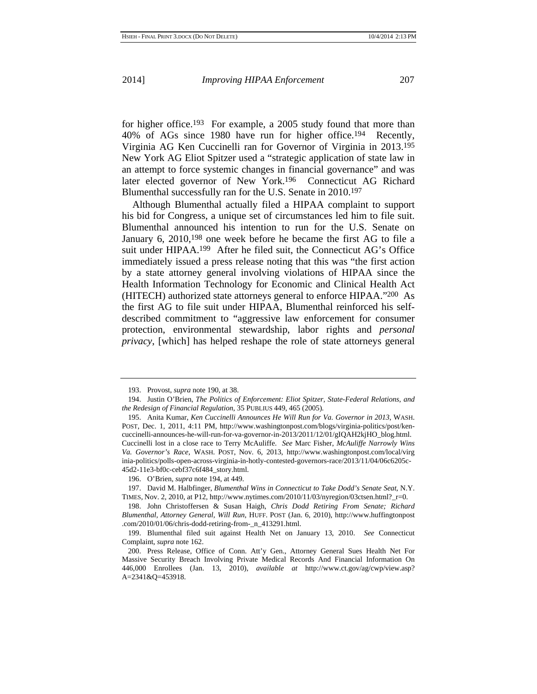for higher office.<sup>193</sup> For example, a 2005 study found that more than 40% of AGs since 1980 have run for higher office.194 Recently, Virginia AG Ken Cuccinelli ran for Governor of Virginia in 2013.195 New York AG Eliot Spitzer used a "strategic application of state law in an attempt to force systemic changes in financial governance" and was later elected governor of New York.196 Connecticut AG Richard Blumenthal successfully ran for the U.S. Senate in 2010.197

Although Blumenthal actually filed a HIPAA complaint to support his bid for Congress, a unique set of circumstances led him to file suit. Blumenthal announced his intention to run for the U.S. Senate on January 6, 2010,198 one week before he became the first AG to file a suit under HIPAA.199 After he filed suit, the Connecticut AG's Office immediately issued a press release noting that this was "the first action by a state attorney general involving violations of HIPAA since the Health Information Technology for Economic and Clinical Health Act (HITECH) authorized state attorneys general to enforce HIPAA."200 As the first AG to file suit under HIPAA, Blumenthal reinforced his selfdescribed commitment to "aggressive law enforcement for consumer protection, environmental stewardship, labor rights and *personal privacy*, [which] has helped reshape the role of state attorneys general

<sup>193.</sup> Provost, *supra* note 190, at 38.

<sup>194.</sup> Justin O'Brien, *The Politics of Enforcement: Eliot Spitzer, State-Federal Relations, and the Redesign of Financial Regulation*, 35 PUBLIUS 449, 465 (2005).

<sup>195.</sup> Anita Kumar, *Ken Cuccinelli Announces He Will Run for Va. Governor in 2013*, WASH. POST, Dec. 1, 2011, 4:11 PM, http://www.washingtonpost.com/blogs/virginia-politics/post/kencuccinelli-announces-he-will-run-for-va-governor-in-2013/2011/12/01/gIQAH2kjHO\_blog.html. Cuccinelli lost in a close race to Terry McAuliffe. *See* Marc Fisher, *McAuliffe Narrowly Wins Va. Governor's Race*, WASH. POST, Nov. 6, 2013, http://www.washingtonpost.com/local/virg inia-politics/polls-open-across-virginia-in-hotly-contested-governors-race/2013/11/04/06c6205c-45d2-11e3-bf0c-cebf37c6f484\_story.html.

<sup>196.</sup> O'Brien, *supra* note 194, at 449.

<sup>197.</sup> David M. Halbfinger, *Blumenthal Wins in Connecticut to Take Dodd's Senate Seat*, N.Y. TIMES, Nov. 2, 2010, at P12, http://www.nytimes.com/2010/11/03/nyregion/03ctsen.html?  $r=0$ .

<sup>198.</sup> John Christoffersen & Susan Haigh, *Chris Dodd Retiring From Senate; Richard Blumenthal, Attorney General, Will Run*, HUFF. POST (Jan. 6, 2010), http://www.huffingtonpost .com/2010/01/06/chris-dodd-retiring-from-\_n\_413291.html.

<sup>199.</sup> Blumenthal filed suit against Health Net on January 13, 2010. *See* Connecticut Complaint, *supra* note 162.

<sup>200.</sup> Press Release, Office of Conn. Att'y Gen., Attorney General Sues Health Net For Massive Security Breach Involving Private Medical Records And Financial Information On 446,000 Enrollees (Jan. 13, 2010), *available at* http://www.ct.gov/ag/cwp/view.asp? A=2341&Q=453918.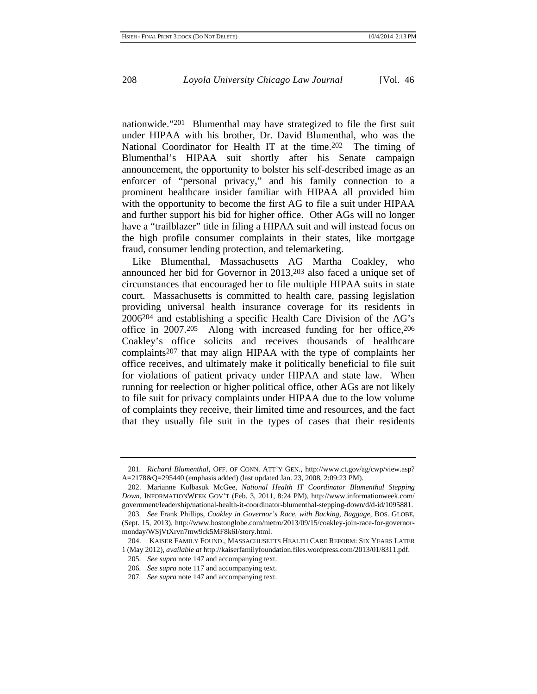nationwide."201 Blumenthal may have strategized to file the first suit under HIPAA with his brother, Dr. David Blumenthal, who was the National Coordinator for Health IT at the time.202 The timing of Blumenthal's HIPAA suit shortly after his Senate campaign announcement, the opportunity to bolster his self-described image as an enforcer of "personal privacy," and his family connection to a prominent healthcare insider familiar with HIPAA all provided him with the opportunity to become the first AG to file a suit under HIPAA and further support his bid for higher office. Other AGs will no longer have a "trailblazer" title in filing a HIPAA suit and will instead focus on the high profile consumer complaints in their states, like mortgage fraud, consumer lending protection, and telemarketing.

Like Blumenthal, Massachusetts AG Martha Coakley, who announced her bid for Governor in 2013,203 also faced a unique set of circumstances that encouraged her to file multiple HIPAA suits in state court. Massachusetts is committed to health care, passing legislation providing universal health insurance coverage for its residents in 2006204 and establishing a specific Health Care Division of the AG's office in 2007.205 Along with increased funding for her office,206 Coakley's office solicits and receives thousands of healthcare complaints207 that may align HIPAA with the type of complaints her office receives, and ultimately make it politically beneficial to file suit for violations of patient privacy under HIPAA and state law. When running for reelection or higher political office, other AGs are not likely to file suit for privacy complaints under HIPAA due to the low volume of complaints they receive, their limited time and resources, and the fact that they usually file suit in the types of cases that their residents

<sup>201</sup>*. Richard Blumenthal*, OFF. OF CONN. ATT'Y GEN., http://www.ct.gov/ag/cwp/view.asp? A=2178&Q=295440 (emphasis added) (last updated Jan. 23, 2008, 2:09:23 PM).

<sup>202.</sup> Marianne Kolbasuk McGee, *National Health IT Coordinator Blumenthal Stepping Down*, INFORMATIONWEEK GOV'T (Feb. 3, 2011, 8:24 PM), http://www.informationweek.com/ government/leadership/national-health-it-coordinator-blumenthal-stepping-down/d/d-id/1095881.

<sup>203</sup>*. See* Frank Phillips, *Coakley in Governor's Race, with Backing, Baggage*, BOS. GLOBE, (Sept. 15, 2013), http://www.bostonglobe.com/metro/2013/09/15/coakley-join-race-for-governormonday/WSjVtXrvn7mw9ck5MF8k6I/story.html.

<sup>204.</sup> KAISER FAMILY FOUND., MASSACHUSETTS HEALTH CARE REFORM: SIX YEARS LATER 1 (May 2012), *available at* http://kaiserfamilyfoundation.files.wordpress.com/2013/01/8311.pdf.

<sup>205</sup>*. See supra* note 147 and accompanying text.

<sup>206</sup>*. See supra* note 117 and accompanying text.

<sup>207</sup>*. See supra* note 147 and accompanying text.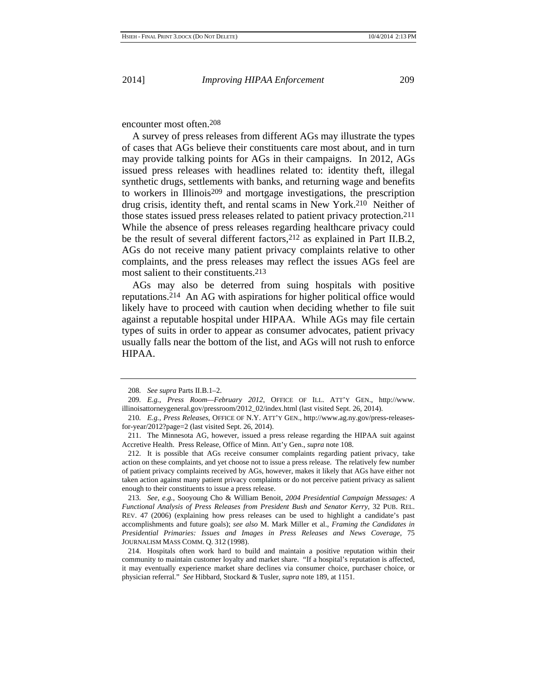encounter most often.208

A survey of press releases from different AGs may illustrate the types of cases that AGs believe their constituents care most about, and in turn may provide talking points for AGs in their campaigns. In 2012, AGs issued press releases with headlines related to: identity theft, illegal synthetic drugs, settlements with banks, and returning wage and benefits to workers in Illinois209 and mortgage investigations, the prescription drug crisis, identity theft, and rental scams in New York.210 Neither of those states issued press releases related to patient privacy protection.211 While the absence of press releases regarding healthcare privacy could be the result of several different factors,212 as explained in Part II.B.2, AGs do not receive many patient privacy complaints relative to other complaints, and the press releases may reflect the issues AGs feel are most salient to their constituents.213

AGs may also be deterred from suing hospitals with positive reputations.214 An AG with aspirations for higher political office would likely have to proceed with caution when deciding whether to file suit against a reputable hospital under HIPAA. While AGs may file certain types of suits in order to appear as consumer advocates, patient privacy usually falls near the bottom of the list, and AGs will not rush to enforce HIPAA.

<sup>208</sup>*. See supra* Parts II.B.1–2.

<sup>209</sup>*. E.g.*, *Press Room—February 2012*, OFFICE OF ILL. ATT'Y GEN., http://www. illinoisattorneygeneral.gov/pressroom/2012\_02/index.html (last visited Sept. 26, 2014).

<sup>210</sup>*. E.g.*, *Press Releases*, OFFICE OF N.Y. ATT'Y GEN., http://www.ag.ny.gov/press-releasesfor-year/2012?page=2 (last visited Sept. 26, 2014).

<sup>211.</sup> The Minnesota AG, however, issued a press release regarding the HIPAA suit against Accretive Health. Press Release, Office of Minn. Att'y Gen., *supra* note 108.

<sup>212.</sup> It is possible that AGs receive consumer complaints regarding patient privacy, take action on these complaints, and yet choose not to issue a press release. The relatively few number of patient privacy complaints received by AGs, however, makes it likely that AGs have either not taken action against many patient privacy complaints or do not perceive patient privacy as salient enough to their constituents to issue a press release.

<sup>213</sup>*. See, e.g.*, Sooyoung Cho & William Benoit, *2004 Presidential Campaign Messages: A Functional Analysis of Press Releases from President Bush and Senator Kerry*, 32 PUB. REL. REV. 47 (2006) (explaining how press releases can be used to highlight a candidate's past accomplishments and future goals); *see also* M. Mark Miller et al., *Framing the Candidates in Presidential Primaries: Issues and Images in Press Releases and News Coverage*, 75 JOURNALISM MASS COMM. Q. 312 (1998).

<sup>214.</sup> Hospitals often work hard to build and maintain a positive reputation within their community to maintain customer loyalty and market share. "If a hospital's reputation is affected, it may eventually experience market share declines via consumer choice, purchaser choice, or physician referral." *See* Hibbard, Stockard & Tusler, *supra* note 189, at 1151.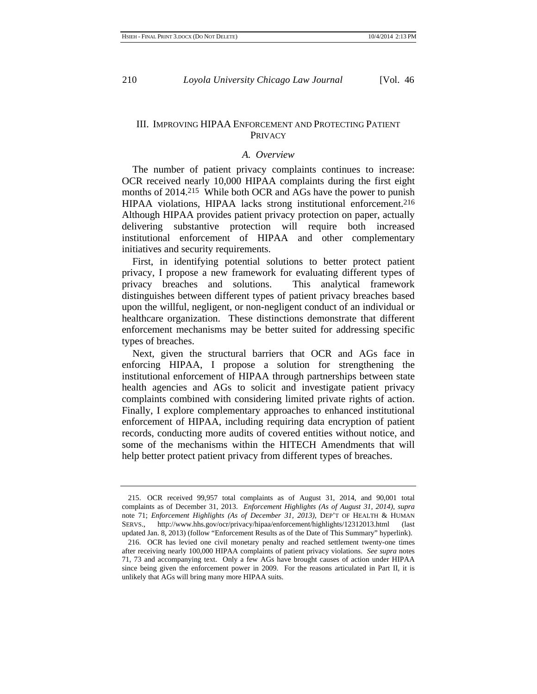### III. IMPROVING HIPAA ENFORCEMENT AND PROTECTING PATIENT PRIVACY

#### *A. Overview*

The number of patient privacy complaints continues to increase: OCR received nearly 10,000 HIPAA complaints during the first eight months of 2014.215 While both OCR and AGs have the power to punish HIPAA violations, HIPAA lacks strong institutional enforcement.216 Although HIPAA provides patient privacy protection on paper, actually delivering substantive protection will require both increased institutional enforcement of HIPAA and other complementary initiatives and security requirements.

First, in identifying potential solutions to better protect patient privacy, I propose a new framework for evaluating different types of privacy breaches and solutions. This analytical framework distinguishes between different types of patient privacy breaches based upon the willful, negligent, or non-negligent conduct of an individual or healthcare organization. These distinctions demonstrate that different enforcement mechanisms may be better suited for addressing specific types of breaches.

Next, given the structural barriers that OCR and AGs face in enforcing HIPAA, I propose a solution for strengthening the institutional enforcement of HIPAA through partnerships between state health agencies and AGs to solicit and investigate patient privacy complaints combined with considering limited private rights of action. Finally, I explore complementary approaches to enhanced institutional enforcement of HIPAA, including requiring data encryption of patient records, conducting more audits of covered entities without notice, and some of the mechanisms within the HITECH Amendments that will help better protect patient privacy from different types of breaches.

<sup>215.</sup> OCR received 99,957 total complaints as of August 31, 2014, and 90,001 total complaints as of December 31, 2013. *Enforcement Highlights (As of August 31, 2014)*, *supra* note 71; *Enforcement Highlights (As of December 31, 2013)*, DEP'T OF HEALTH & HUMAN SERVS., http://www.hhs.gov/ocr/privacy/hipaa/enforcement/highlights/12312013.html (last updated Jan. 8, 2013) (follow "Enforcement Results as of the Date of This Summary" hyperlink).

<sup>216.</sup> OCR has levied one civil monetary penalty and reached settlement twenty-one times after receiving nearly 100,000 HIPAA complaints of patient privacy violations. *See supra* notes 71, 73 and accompanying text. Only a few AGs have brought causes of action under HIPAA since being given the enforcement power in 2009. For the reasons articulated in Part II, it is unlikely that AGs will bring many more HIPAA suits.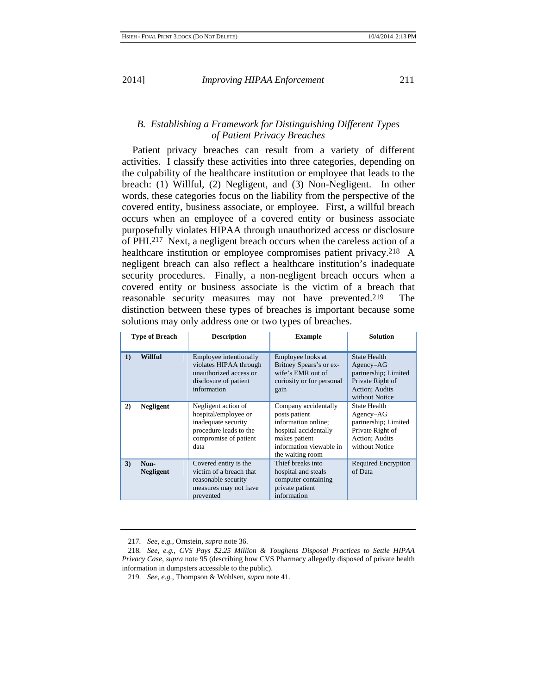## *B. Establishing a Framework for Distinguishing Different Types of Patient Privacy Breaches*

Patient privacy breaches can result from a variety of different activities. I classify these activities into three categories, depending on the culpability of the healthcare institution or employee that leads to the breach: (1) Willful, (2) Negligent, and (3) Non-Negligent. In other words, these categories focus on the liability from the perspective of the covered entity, business associate, or employee. First, a willful breach occurs when an employee of a covered entity or business associate purposefully violates HIPAA through unauthorized access or disclosure of PHI.217 Next, a negligent breach occurs when the careless action of a healthcare institution or employee compromises patient privacy.<sup>218</sup> A negligent breach can also reflect a healthcare institution's inadequate security procedures. Finally, a non-negligent breach occurs when a covered entity or business associate is the victim of a breach that reasonable security measures may not have prevented.219 The distinction between these types of breaches is important because some solutions may only address one or two types of breaches.

| <b>Type of Breach</b> |                          | <b>Description</b>                                                                                                            | <b>Example</b>                                                                                                                                        | <b>Solution</b>                                                                                                    |
|-----------------------|--------------------------|-------------------------------------------------------------------------------------------------------------------------------|-------------------------------------------------------------------------------------------------------------------------------------------------------|--------------------------------------------------------------------------------------------------------------------|
| $\bf{1}$              | Willful                  | Employee intentionally<br>violates HIPAA through<br>unauthorized access or<br>disclosure of patient<br>information            | Employee looks at<br>Britney Spears's or ex-<br>wife's EMR out of<br>curiosity or for personal<br>gain                                                | <b>State Health</b><br>$Agency-AG$<br>partnership; Limited<br>Private Right of<br>Action; Audits<br>without Notice |
| 2)                    | <b>Negligent</b>         | Negligent action of<br>hospital/employee or<br>inadequate security<br>procedure leads to the<br>compromise of patient<br>data | Company accidentally<br>posts patient<br>information online:<br>hospital accidentally<br>makes patient<br>information viewable in<br>the waiting room | State Health<br>Agency–AG<br>partnership; Limited<br>Private Right of<br>Action; Audits<br>without Notice          |
| 3)                    | Non-<br><b>Negligent</b> | Covered entity is the<br>victim of a breach that<br>reasonable security<br>measures may not have<br>prevented                 | Thief breaks into<br>hospital and steals<br>computer containing<br>private patient<br>information                                                     | <b>Required Encryption</b><br>of Data                                                                              |

<sup>217</sup>*. See, e.g.*, Ornstein, *supra* note 36.

<sup>218</sup>*. See, e.g.*, *CVS Pays \$2.25 Million & Toughens Disposal Practices to Settle HIPAA Privacy Case*, *supra* note 95 (describing how CVS Pharmacy allegedly disposed of private health information in dumpsters accessible to the public).

<sup>219</sup>*. See, e.g.*, Thompson & Wohlsen, *supra* note 41.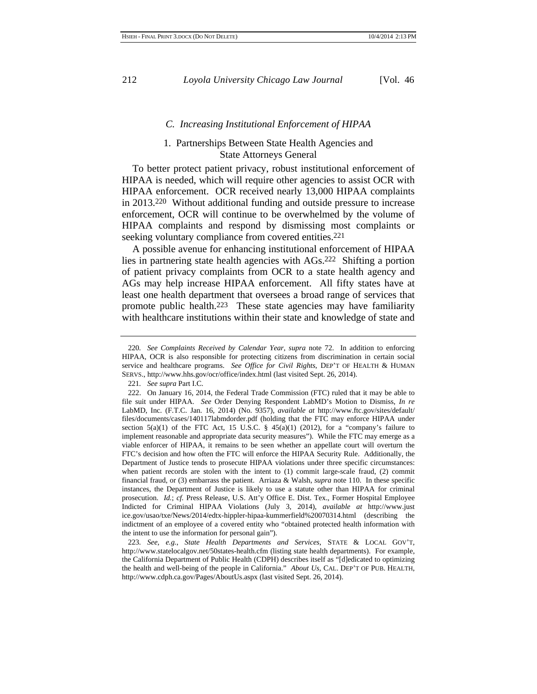#### *C. Increasing Institutional Enforcement of HIPAA*

### 1. Partnerships Between State Health Agencies and State Attorneys General

To better protect patient privacy, robust institutional enforcement of HIPAA is needed, which will require other agencies to assist OCR with HIPAA enforcement. OCR received nearly 13,000 HIPAA complaints in 2013.220 Without additional funding and outside pressure to increase enforcement, OCR will continue to be overwhelmed by the volume of HIPAA complaints and respond by dismissing most complaints or seeking voluntary compliance from covered entities.<sup>221</sup>

A possible avenue for enhancing institutional enforcement of HIPAA lies in partnering state health agencies with AGs.222 Shifting a portion of patient privacy complaints from OCR to a state health agency and AGs may help increase HIPAA enforcement. All fifty states have at least one health department that oversees a broad range of services that promote public health.223 These state agencies may have familiarity with healthcare institutions within their state and knowledge of state and

223*. See, e.g.*, *State Health Departments and Services*, STATE & LOCAL GOV'T, http://www.statelocalgov.net/50states-health.cfm (listing state health departments). For example, the California Department of Public Health (CDPH) describes itself as "[d]edicated to optimizing the health and well-being of the people in California." *About Us*, CAL. DEP'T OF PUB. HEALTH, http://www.cdph.ca.gov/Pages/AboutUs.aspx (last visited Sept. 26, 2014).

<sup>220</sup>*. See Complaints Received by Calendar Year*, *supra* note 72. In addition to enforcing HIPAA, OCR is also responsible for protecting citizens from discrimination in certain social service and healthcare programs. *See Office for Civil Rights*, DEP'T OF HEALTH & HUMAN SERVS., http://www.hhs.gov/ocr/office/index.html (last visited Sept. 26, 2014).

<sup>221</sup>*. See supra* Part I.C.

<sup>222.</sup> On January 16, 2014, the Federal Trade Commission (FTC) ruled that it may be able to file suit under HIPAA. *See* Order Denying Respondent LabMD's Motion to Dismiss, *In re* LabMD, Inc. (F.T.C. Jan. 16, 2014) (No. 9357), *available at* http://www.ftc.gov/sites/default/ files/documents/cases/140117labmdorder.pdf (holding that the FTC may enforce HIPAA under section  $5(a)(1)$  of the FTC Act, 15 U.S.C. § 45(a)(1) (2012), for a "company's failure to implement reasonable and appropriate data security measures"). While the FTC may emerge as a viable enforcer of HIPAA, it remains to be seen whether an appellate court will overturn the FTC's decision and how often the FTC will enforce the HIPAA Security Rule. Additionally, the Department of Justice tends to prosecute HIPAA violations under three specific circumstances: when patient records are stolen with the intent to (1) commit large-scale fraud, (2) commit financial fraud, or (3) embarrass the patient. Arriaza & Walsh, *supra* note 110. In these specific instances, the Department of Justice is likely to use a statute other than HIPAA for criminal prosecution. *Id.*; *cf.* Press Release, U.S. Att'y Office E. Dist. Tex., Former Hospital Employee Indicted for Criminal HIPAA Violations (July 3, 2014), *available at* http://www.just ice.gov/usao/txe/News/2014/edtx-hippler-hipaa-kummerfield%20070314.html (describing the indictment of an employee of a covered entity who "obtained protected health information with the intent to use the information for personal gain").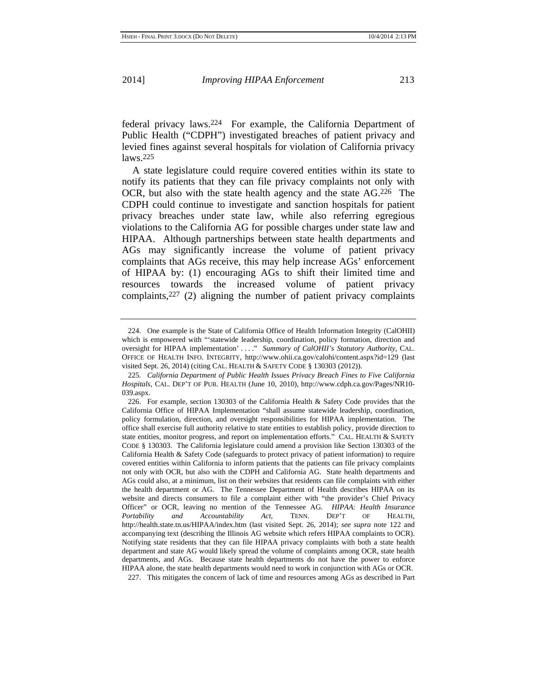federal privacy laws.224 For example, the California Department of Public Health ("CDPH") investigated breaches of patient privacy and levied fines against several hospitals for violation of California privacy laws.225

A state legislature could require covered entities within its state to notify its patients that they can file privacy complaints not only with OCR, but also with the state health agency and the state AG.226 The CDPH could continue to investigate and sanction hospitals for patient privacy breaches under state law, while also referring egregious violations to the California AG for possible charges under state law and HIPAA. Although partnerships between state health departments and AGs may significantly increase the volume of patient privacy complaints that AGs receive, this may help increase AGs' enforcement of HIPAA by: (1) encouraging AGs to shift their limited time and resources towards the increased volume of patient privacy complaints,227 (2) aligning the number of patient privacy complaints

<sup>224.</sup> One example is the State of California Office of Health Information Integrity (CalOHII) which is empowered with "'statewide leadership, coordination, policy formation, direction and oversight for HIPAA implementation' . . . ." *Summary of CalOHII's Statutory Authority*, CAL. OFFICE OF HEALTH INFO. INTEGRITY, http://www.ohii.ca.gov/calohi/content.aspx?id=129 (last visited Sept. 26, 2014) (citing CAL. HEALTH & SAFETY CODE § 130303 (2012)).

<sup>225</sup>*. California Department of Public Health Issues Privacy Breach Fines to Five California Hospitals*, CAL. DEP'T OF PUB. HEALTH (June 10, 2010), http://www.cdph.ca.gov/Pages/NR10- 039.aspx.

<sup>226.</sup> For example, section 130303 of the California Health & Safety Code provides that the California Office of HIPAA Implementation "shall assume statewide leadership, coordination, policy formulation, direction, and oversight responsibilities for HIPAA implementation. The office shall exercise full authority relative to state entities to establish policy, provide direction to state entities, monitor progress, and report on implementation efforts." CAL. HEALTH & SAFETY CODE § 130303. The California legislature could amend a provision like Section 130303 of the California Health & Safety Code (safeguards to protect privacy of patient information) to require covered entities within California to inform patients that the patients can file privacy complaints not only with OCR, but also with the CDPH and California AG. State health departments and AGs could also, at a minimum, list on their websites that residents can file complaints with either the health department or AG. The Tennessee Department of Health describes HIPAA on its website and directs consumers to file a complaint either with "the provider's Chief Privacy Officer" or OCR, leaving no mention of the Tennessee AG. *HIPAA: Health Insurance Portability and Accountability Act*, TENN. DEP'T OF HEALTH, http://health.state.tn.us/HIPAA/index.htm (last visited Sept. 26, 2014); *see supra* note 122 and accompanying text (describing the Illinois AG website which refers HIPAA complaints to OCR). Notifying state residents that they can file HIPAA privacy complaints with both a state health department and state AG would likely spread the volume of complaints among OCR, state health departments, and AGs. Because state health departments do not have the power to enforce HIPAA alone, the state health departments would need to work in conjunction with AGs or OCR.

<sup>227.</sup> This mitigates the concern of lack of time and resources among AGs as described in Part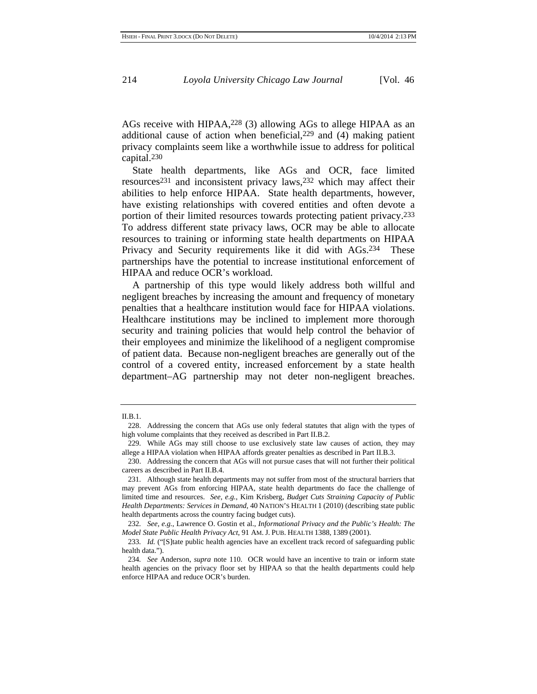AGs receive with HIPAA,228 (3) allowing AGs to allege HIPAA as an additional cause of action when beneficial, $229$  and (4) making patient privacy complaints seem like a worthwhile issue to address for political capital.230

State health departments, like AGs and OCR, face limited resources231 and inconsistent privacy laws,232 which may affect their abilities to help enforce HIPAA. State health departments, however, have existing relationships with covered entities and often devote a portion of their limited resources towards protecting patient privacy.233 To address different state privacy laws, OCR may be able to allocate resources to training or informing state health departments on HIPAA Privacy and Security requirements like it did with AGs.234 These partnerships have the potential to increase institutional enforcement of HIPAA and reduce OCR's workload.

A partnership of this type would likely address both willful and negligent breaches by increasing the amount and frequency of monetary penalties that a healthcare institution would face for HIPAA violations. Healthcare institutions may be inclined to implement more thorough security and training policies that would help control the behavior of their employees and minimize the likelihood of a negligent compromise of patient data. Because non-negligent breaches are generally out of the control of a covered entity, increased enforcement by a state health department–AG partnership may not deter non-negligent breaches.

II.B.1.

<sup>228.</sup> Addressing the concern that AGs use only federal statutes that align with the types of high volume complaints that they received as described in Part II.B.2.

<sup>229.</sup> While AGs may still choose to use exclusively state law causes of action, they may allege a HIPAA violation when HIPAA affords greater penalties as described in Part II.B.3.

<sup>230.</sup> Addressing the concern that AGs will not pursue cases that will not further their political careers as described in Part II.B.4.

<sup>231.</sup> Although state health departments may not suffer from most of the structural barriers that may prevent AGs from enforcing HIPAA, state health departments do face the challenge of limited time and resources. *See, e.g.*, Kim Krisberg, *Budget Cuts Straining Capacity of Public Health Departments: Services in Demand*, 40 NATION'S HEALTH 1 (2010) (describing state public health departments across the country facing budget cuts).

<sup>232</sup>*. See, e.g.*, Lawrence O. Gostin et al., *Informational Privacy and the Public's Health: The Model State Public Health Privacy Act*, 91 AM. J. PUB. HEALTH 1388, 1389 (2001).

<sup>233</sup>*. Id.* ("[S]tate public health agencies have an excellent track record of safeguarding public health data.").

<sup>234</sup>*. See* Anderson, *supra* note 110. OCR would have an incentive to train or inform state health agencies on the privacy floor set by HIPAA so that the health departments could help enforce HIPAA and reduce OCR's burden.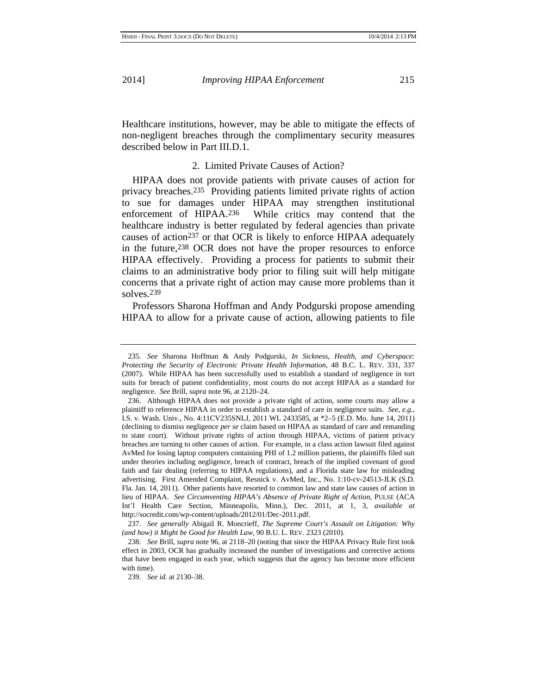Healthcare institutions, however, may be able to mitigate the effects of non-negligent breaches through the complimentary security measures described below in Part III.D.1.

### 2. Limited Private Causes of Action?

HIPAA does not provide patients with private causes of action for privacy breaches.235 Providing patients limited private rights of action to sue for damages under HIPAA may strengthen institutional enforcement of HIPAA.236 While critics may contend that the healthcare industry is better regulated by federal agencies than private causes of action<sup>237</sup> or that OCR is likely to enforce HIPAA adequately in the future,238 OCR does not have the proper resources to enforce HIPAA effectively. Providing a process for patients to submit their claims to an administrative body prior to filing suit will help mitigate concerns that a private right of action may cause more problems than it solves.239

Professors Sharona Hoffman and Andy Podgurski propose amending HIPAA to allow for a private cause of action, allowing patients to file

<sup>235</sup>*. See* Sharona Hoffman & Andy Podgurski, *In Sickness, Health, and Cyberspace: Protecting the Security of Electronic Private Health Information*, 48 B.C. L. REV. 331, 337 (2007). While HIPAA has been successfully used to establish a standard of negligence in tort suits for breach of patient confidentiality, most courts do not accept HIPAA as a standard for negligence. *See* Brill, *supra* note 96, at 2120–24.

<sup>236.</sup> Although HIPAA does not provide a private right of action, some courts may allow a plaintiff to reference HIPAA in order to establish a standard of care in negligence suits. *See, e.g.*, I.S. v. Wash. Univ., No. 4:11CV235SNLJ, 2011 WL 2433585, at \*2–5 (E.D. Mo. June 14, 2011) (declining to dismiss negligence *per se* claim based on HIPAA as standard of care and remanding to state court). Without private rights of action through HIPAA, victims of patient privacy breaches are turning to other causes of action. For example, in a class action lawsuit filed against AvMed for losing laptop computers containing PHI of 1.2 million patients, the plaintiffs filed suit under theories including negligence, breach of contract, breach of the implied covenant of good faith and fair dealing (referring to HIPAA regulations), and a Florida state law for misleading advertising. First Amended Complaint, Resnick v. AvMed, Inc., No. 1:10-cv-24513-JLK (S.D. Fla. Jan. 14, 2011). Other patients have resorted to common law and state law causes of action in lieu of HIPAA. *See Circumventing HIPAA's Absence of Private Right of Action*, PULSE (ACA Int'l Health Care Section, Minneapolis, Minn.), Dec. 2011, at 1, 3, *available at* http://socredit.com/wp-content/uploads/2012/01/Dec-2011.pdf.

<sup>237</sup>*. See generally* Abigail R. Moncrieff, *The Supreme Court's Assault on Litigation: Why (and how) it Might be Good for Health Law*, 90 B.U. L. REV. 2323 (2010).

<sup>238</sup>*. See* Brill, *supra* note 96, at 2118–20 (noting that since the HIPAA Privacy Rule first took effect in 2003, OCR has gradually increased the number of investigations and corrective actions that have been engaged in each year, which suggests that the agency has become more efficient with time).

<sup>239</sup>*. See id.* at 2130–38.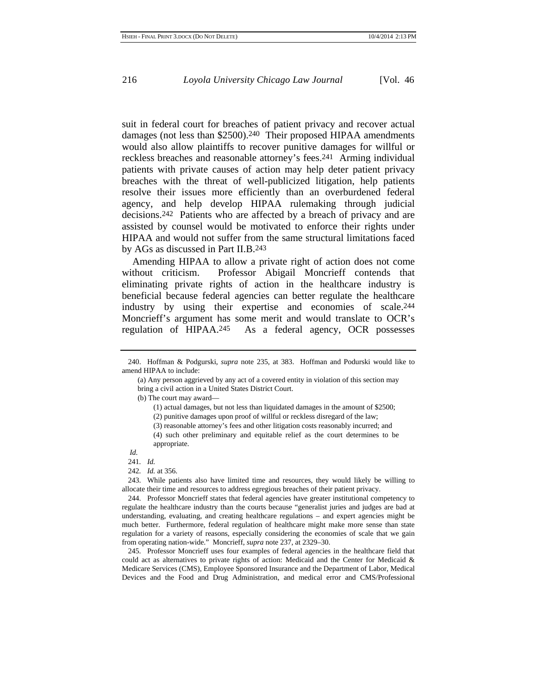suit in federal court for breaches of patient privacy and recover actual damages (not less than \$2500).<sup>240</sup> Their proposed HIPAA amendments would also allow plaintiffs to recover punitive damages for willful or reckless breaches and reasonable attorney's fees.241 Arming individual patients with private causes of action may help deter patient privacy breaches with the threat of well-publicized litigation, help patients resolve their issues more efficiently than an overburdened federal agency, and help develop HIPAA rulemaking through judicial decisions.242 Patients who are affected by a breach of privacy and are assisted by counsel would be motivated to enforce their rights under HIPAA and would not suffer from the same structural limitations faced by AGs as discussed in Part II.B.243

Amending HIPAA to allow a private right of action does not come without criticism. Professor Abigail Moncrieff contends that eliminating private rights of action in the healthcare industry is beneficial because federal agencies can better regulate the healthcare industry by using their expertise and economies of scale.244 Moncrieff's argument has some merit and would translate to OCR's regulation of HIPAA.245 As a federal agency, OCR possesses

(b) The court may award—

- (1) actual damages, but not less than liquidated damages in the amount of \$2500;
- (2) punitive damages upon proof of willful or reckless disregard of the law;
- (3) reasonable attorney's fees and other litigation costs reasonably incurred; and
- (4) such other preliminary and equitable relief as the court determines to be appropriate.
- *Id.*
- 241*. Id.*
- 242*. Id.* at 356.

243. While patients also have limited time and resources, they would likely be willing to allocate their time and resources to address egregious breaches of their patient privacy.

244. Professor Moncrieff states that federal agencies have greater institutional competency to regulate the healthcare industry than the courts because "generalist juries and judges are bad at understanding, evaluating, and creating healthcare regulations – and expert agencies might be much better. Furthermore, federal regulation of healthcare might make more sense than state regulation for a variety of reasons, especially considering the economies of scale that we gain from operating nation-wide." Moncrieff, *supra* note 237, at 2329–30.

245. Professor Moncrieff uses four examples of federal agencies in the healthcare field that could act as alternatives to private rights of action: Medicaid and the Center for Medicaid & Medicare Services (CMS), Employee Sponsored Insurance and the Department of Labor, Medical Devices and the Food and Drug Administration, and medical error and CMS/Professional

<sup>240.</sup> Hoffman & Podgurski, *supra* note 235, at 383. Hoffman and Podurski would like to amend HIPAA to include:

<sup>(</sup>a) Any person aggrieved by any act of a covered entity in violation of this section may bring a civil action in a United States District Court.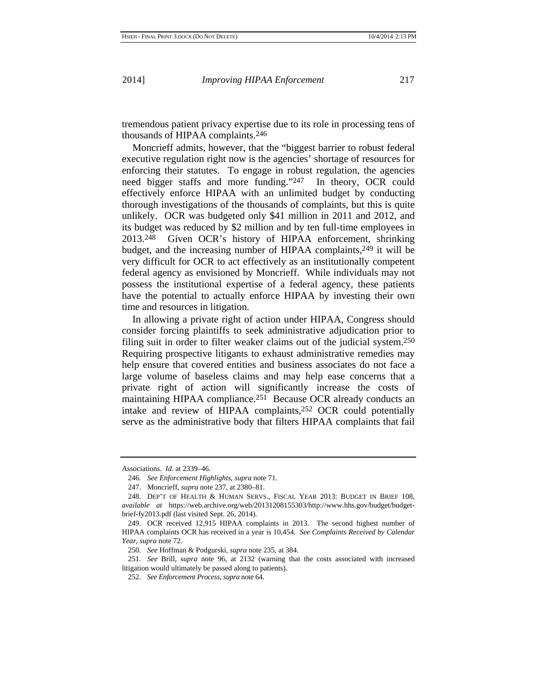tremendous patient privacy expertise due to its role in processing tens of thousands of HIPAA complaints.246

Moncrieff admits, however, that the "biggest barrier to robust federal executive regulation right now is the agencies' shortage of resources for enforcing their statutes. To engage in robust regulation, the agencies need bigger staffs and more funding."247 In theory, OCR could effectively enforce HIPAA with an unlimited budget by conducting thorough investigations of the thousands of complaints, but this is quite unlikely. OCR was budgeted only \$41 million in 2011 and 2012, and its budget was reduced by \$2 million and by ten full-time employees in 2013.248 Given OCR's history of HIPAA enforcement, shrinking budget, and the increasing number of HIPAA complaints,<sup>249</sup> it will be very difficult for OCR to act effectively as an institutionally competent federal agency as envisioned by Moncrieff. While individuals may not possess the institutional expertise of a federal agency, these patients have the potential to actually enforce HIPAA by investing their own time and resources in litigation.

In allowing a private right of action under HIPAA, Congress should consider forcing plaintiffs to seek administrative adjudication prior to filing suit in order to filter weaker claims out of the judicial system.250 Requiring prospective litigants to exhaust administrative remedies may help ensure that covered entities and business associates do not face a large volume of baseless claims and may help ease concerns that a private right of action will significantly increase the costs of maintaining HIPAA compliance.<sup>251</sup> Because OCR already conducts an intake and review of HIPAA complaints,252 OCR could potentially serve as the administrative body that filters HIPAA complaints that fail

Associations. *Id.* at 2339–46.

<sup>246</sup>*. See Enforcement Highlights*, *supra* note 71.

<sup>247.</sup> Moncrieff, *supra* note 237, at 2380–81.

<sup>248.</sup> DEP'T OF HEALTH & HUMAN SERVS., FISCAL YEAR 2013: BUDGET IN BRIEF 108, *available at* https://web.archive.org/web/20131208155303/http://www.hhs.gov/budget/budgetbrief-fy2013.pdf (last visited Sept. 26, 2014).

<sup>249.</sup> OCR received 12,915 HIPAA complaints in 2013. The second highest number of HIPAA complaints OCR has received in a year is 10,454. *See Complaints Received by Calendar Year*, *supra* note 72.

<sup>250</sup>*. See* Hoffman & Podgurski, *supra* note 235, at 384.

<sup>251</sup>*. See* Brill, *supra* note 96, at 2132 (warning that the costs associated with increased litigation would ultimately be passed along to patients).

<sup>252</sup>*. See Enforcement Process*, *supra* note 64.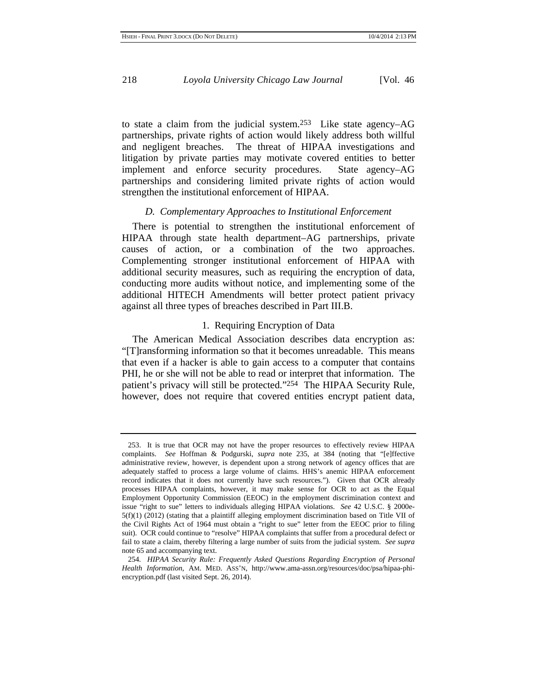to state a claim from the judicial system.253 Like state agency–AG partnerships, private rights of action would likely address both willful and negligent breaches. The threat of HIPAA investigations and litigation by private parties may motivate covered entities to better implement and enforce security procedures. State agency–AG partnerships and considering limited private rights of action would strengthen the institutional enforcement of HIPAA.

#### *D. Complementary Approaches to Institutional Enforcement*

There is potential to strengthen the institutional enforcement of HIPAA through state health department–AG partnerships, private causes of action, or a combination of the two approaches. Complementing stronger institutional enforcement of HIPAA with additional security measures, such as requiring the encryption of data, conducting more audits without notice, and implementing some of the additional HITECH Amendments will better protect patient privacy against all three types of breaches described in Part III.B.

### 1. Requiring Encryption of Data

The American Medical Association describes data encryption as: "[T]ransforming information so that it becomes unreadable. This means that even if a hacker is able to gain access to a computer that contains PHI, he or she will not be able to read or interpret that information. The patient's privacy will still be protected."254 The HIPAA Security Rule, however, does not require that covered entities encrypt patient data,

<sup>253.</sup> It is true that OCR may not have the proper resources to effectively review HIPAA complaints. *See* Hoffman & Podgurski, *supra* note 235, at 384 (noting that "[e]ffective administrative review, however, is dependent upon a strong network of agency offices that are adequately staffed to process a large volume of claims. HHS's anemic HIPAA enforcement record indicates that it does not currently have such resources."). Given that OCR already processes HIPAA complaints, however, it may make sense for OCR to act as the Equal Employment Opportunity Commission (EEOC) in the employment discrimination context and issue "right to sue" letters to individuals alleging HIPAA violations. *See* 42 U.S.C. § 2000e-5(f)(1) (2012) (stating that a plaintiff alleging employment discrimination based on Title VII of the Civil Rights Act of 1964 must obtain a "right to sue" letter from the EEOC prior to filing suit). OCR could continue to "resolve" HIPAA complaints that suffer from a procedural defect or fail to state a claim, thereby filtering a large number of suits from the judicial system. *See supra* note 65 and accompanying text.

<sup>254</sup>*. HIPAA Security Rule: Frequently Asked Questions Regarding Encryption of Personal Health Information*, AM. MED. ASS'N, http://www.ama-assn.org/resources/doc/psa/hipaa-phiencryption.pdf (last visited Sept. 26, 2014).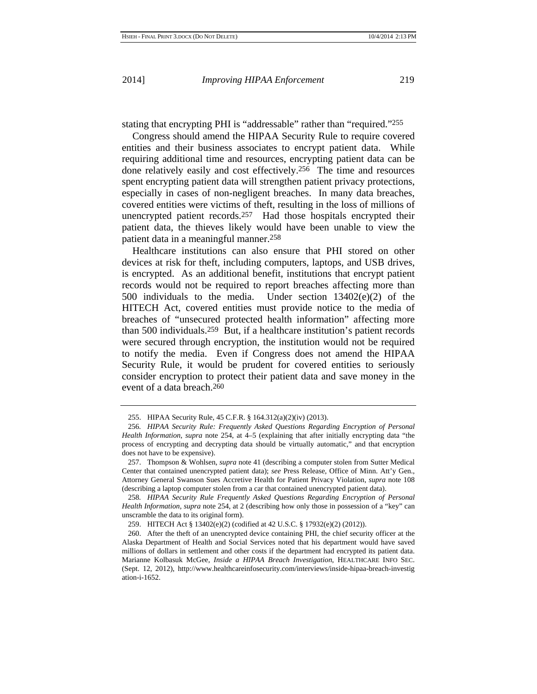stating that encrypting PHI is "addressable" rather than "required."255

Congress should amend the HIPAA Security Rule to require covered entities and their business associates to encrypt patient data. While requiring additional time and resources, encrypting patient data can be done relatively easily and cost effectively.256 The time and resources spent encrypting patient data will strengthen patient privacy protections, especially in cases of non-negligent breaches. In many data breaches, covered entities were victims of theft, resulting in the loss of millions of unencrypted patient records.257 Had those hospitals encrypted their patient data, the thieves likely would have been unable to view the patient data in a meaningful manner.258

Healthcare institutions can also ensure that PHI stored on other devices at risk for theft, including computers, laptops, and USB drives, is encrypted. As an additional benefit, institutions that encrypt patient records would not be required to report breaches affecting more than 500 individuals to the media. Under section 13402(e)(2) of the HITECH Act, covered entities must provide notice to the media of breaches of "unsecured protected health information" affecting more than 500 individuals.259 But, if a healthcare institution's patient records were secured through encryption, the institution would not be required to notify the media. Even if Congress does not amend the HIPAA Security Rule, it would be prudent for covered entities to seriously consider encryption to protect their patient data and save money in the event of a data breach.260

258*. HIPAA Security Rule Frequently Asked Questions Regarding Encryption of Personal Health Information*, *supra* note 254, at 2 (describing how only those in possession of a "key" can unscramble the data to its original form).

259. HITECH Act § 13402(e)(2) (codified at 42 U.S.C. § 17932(e)(2) (2012)).

<sup>255.</sup> HIPAA Security Rule, 45 C.F.R. § 164.312(a)(2)(iv) (2013).

<sup>256</sup>*. HIPAA Security Rule: Frequently Asked Questions Regarding Encryption of Personal Health Information*, *supra* note 254, at 4–5 (explaining that after initially encrypting data "the process of encrypting and decrypting data should be virtually automatic," and that encryption does not have to be expensive).

<sup>257.</sup> Thompson & Wohlsen, *supra* note 41 (describing a computer stolen from Sutter Medical Center that contained unencrypted patient data); *see* Press Release, Office of Minn. Att'y Gen., Attorney General Swanson Sues Accretive Health for Patient Privacy Violation, *supra* note 108 (describing a laptop computer stolen from a car that contained unencrypted patient data).

<sup>260.</sup> After the theft of an unencrypted device containing PHI, the chief security officer at the Alaska Department of Health and Social Services noted that his department would have saved millions of dollars in settlement and other costs if the department had encrypted its patient data. Marianne Kolbasuk McGee, *Inside a HIPAA Breach Investigation*, HEALTHCARE INFO SEC. (Sept. 12, 2012), http://www.healthcareinfosecurity.com/interviews/inside-hipaa-breach-investig ation-i-1652.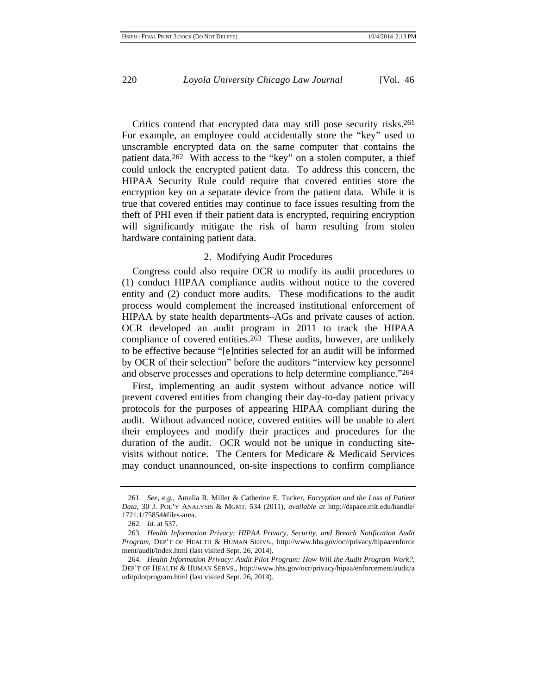Critics contend that encrypted data may still pose security risks.261 For example, an employee could accidentally store the "key" used to unscramble encrypted data on the same computer that contains the patient data.<sup>262</sup> With access to the "key" on a stolen computer, a thief could unlock the encrypted patient data. To address this concern, the HIPAA Security Rule could require that covered entities store the encryption key on a separate device from the patient data. While it is true that covered entities may continue to face issues resulting from the theft of PHI even if their patient data is encrypted, requiring encryption will significantly mitigate the risk of harm resulting from stolen hardware containing patient data.

#### 2. Modifying Audit Procedures

Congress could also require OCR to modify its audit procedures to (1) conduct HIPAA compliance audits without notice to the covered entity and (2) conduct more audits. These modifications to the audit process would complement the increased institutional enforcement of HIPAA by state health departments–AGs and private causes of action. OCR developed an audit program in 2011 to track the HIPAA compliance of covered entities.<sup>263</sup> These audits, however, are unlikely to be effective because "[e]ntities selected for an audit will be informed by OCR of their selection" before the auditors "interview key personnel and observe processes and operations to help determine compliance."264

First, implementing an audit system without advance notice will prevent covered entities from changing their day-to-day patient privacy protocols for the purposes of appearing HIPAA compliant during the audit. Without advanced notice, covered entities will be unable to alert their employees and modify their practices and procedures for the duration of the audit. OCR would not be unique in conducting sitevisits without notice. The Centers for Medicare & Medicaid Services may conduct unannounced, on-site inspections to confirm compliance

<sup>261</sup>*. See, e.g.*, Amalia R. Miller & Catherine E. Tucker, *Encryption and the Loss of Patient Data*, 30 J. POL'Y ANALYSIS & MGMT. 534 (2011), *available at* http://dspace.mit.edu/handle/ 1721.1/75854#files-area.

<sup>262</sup>*. Id.* at 537.

<sup>263</sup>*. Health Information Privacy: HIPAA Privacy, Security, and Breach Notification Audit Program*, DEP'T OF HEALTH & HUMAN SERVS., http://www.hhs.gov/ocr/privacy/hipaa/enforce ment/audit/index.html (last visited Sept. 26, 2014).

<sup>264</sup>*. Health Information Privacy: Audit Pilot Program: How Will the Audit Program Work?*, DEP'T OF HEALTH & HUMAN SERVS., http://www.hhs.gov/ocr/privacy/hipaa/enforcement/audit/a uditpilotprogram.html (last visited Sept. 26, 2014).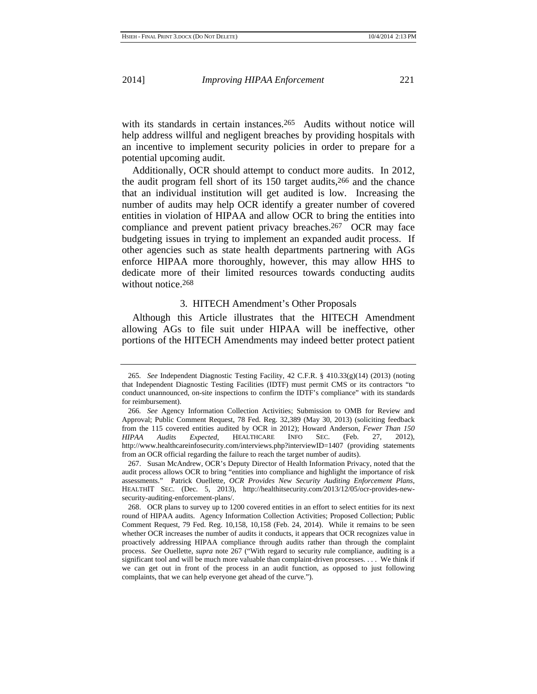with its standards in certain instances.<sup>265</sup> Audits without notice will help address willful and negligent breaches by providing hospitals with an incentive to implement security policies in order to prepare for a potential upcoming audit.

Additionally, OCR should attempt to conduct more audits. In 2012, the audit program fell short of its 150 target audits,266 and the chance that an individual institution will get audited is low. Increasing the number of audits may help OCR identify a greater number of covered entities in violation of HIPAA and allow OCR to bring the entities into compliance and prevent patient privacy breaches.<sup>267</sup> OCR may face budgeting issues in trying to implement an expanded audit process. If other agencies such as state health departments partnering with AGs enforce HIPAA more thoroughly, however, this may allow HHS to dedicate more of their limited resources towards conducting audits without notice.<sup>268</sup>

#### 3. HITECH Amendment's Other Proposals

Although this Article illustrates that the HITECH Amendment allowing AGs to file suit under HIPAA will be ineffective, other portions of the HITECH Amendments may indeed better protect patient

<sup>265</sup>*. See* Independent Diagnostic Testing Facility, 42 C.F.R. § 410.33(g)(14) (2013) (noting that Independent Diagnostic Testing Facilities (IDTF) must permit CMS or its contractors "to conduct unannounced, on-site inspections to confirm the IDTF's compliance" with its standards for reimbursement).

<sup>266</sup>*. See* Agency Information Collection Activities; Submission to OMB for Review and Approval; Public Comment Request, 78 Fed. Reg. 32,389 (May 30, 2013) (soliciting feedback from the 115 covered entities audited by OCR in 2012); Howard Anderson, *Fewer Than 150 HIPAA Audits Expected*, HEALTHCARE INFO SEC. (Feb. 27, 2012), http://www.healthcareinfosecurity.com/interviews.php?interviewID=1407 (providing statements from an OCR official regarding the failure to reach the target number of audits).

<sup>267.</sup> Susan McAndrew, OCR's Deputy Director of Health Information Privacy, noted that the audit process allows OCR to bring "entities into compliance and highlight the importance of risk assessments." Patrick Ouellette, *OCR Provides New Security Auditing Enforcement Plans*, HEALTHIT SEC. (Dec. 5, 2013), http://healthitsecurity.com/2013/12/05/ocr-provides-newsecurity-auditing-enforcement-plans/.

<sup>268.</sup> OCR plans to survey up to 1200 covered entities in an effort to select entities for its next round of HIPAA audits. Agency Information Collection Activities; Proposed Collection; Public Comment Request, 79 Fed. Reg. 10,158, 10,158 (Feb. 24, 2014). While it remains to be seen whether OCR increases the number of audits it conducts, it appears that OCR recognizes value in proactively addressing HIPAA compliance through audits rather than through the complaint process. *See* Ouellette, *supra* note 267 ("With regard to security rule compliance, auditing is a significant tool and will be much more valuable than complaint-driven processes. . . . We think if we can get out in front of the process in an audit function, as opposed to just following complaints, that we can help everyone get ahead of the curve.").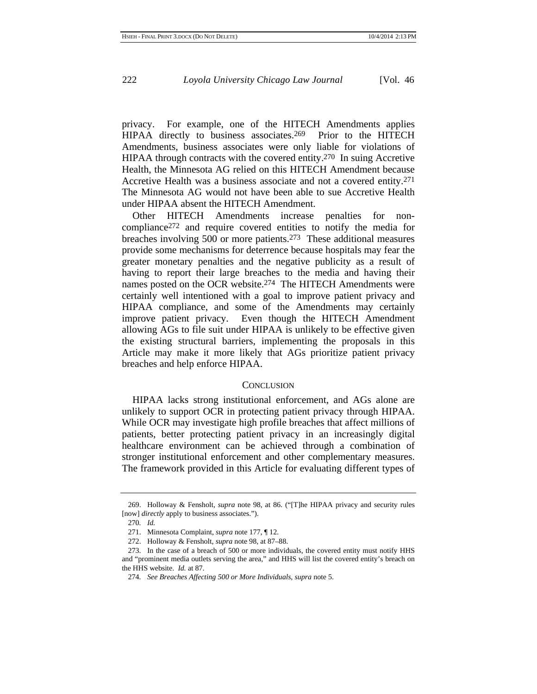privacy. For example, one of the HITECH Amendments applies HIPAA directly to business associates.<sup>269</sup> Prior to the HITECH Amendments, business associates were only liable for violations of HIPAA through contracts with the covered entity.270 In suing Accretive Health, the Minnesota AG relied on this HITECH Amendment because Accretive Health was a business associate and not a covered entity.271 The Minnesota AG would not have been able to sue Accretive Health under HIPAA absent the HITECH Amendment.

Other HITECH Amendments increase penalties for noncompliance272 and require covered entities to notify the media for breaches involving 500 or more patients.273 These additional measures provide some mechanisms for deterrence because hospitals may fear the greater monetary penalties and the negative publicity as a result of having to report their large breaches to the media and having their names posted on the OCR website.274 The HITECH Amendments were certainly well intentioned with a goal to improve patient privacy and HIPAA compliance, and some of the Amendments may certainly improve patient privacy. Even though the HITECH Amendment allowing AGs to file suit under HIPAA is unlikely to be effective given the existing structural barriers, implementing the proposals in this Article may make it more likely that AGs prioritize patient privacy breaches and help enforce HIPAA.

#### **CONCLUSION**

HIPAA lacks strong institutional enforcement, and AGs alone are unlikely to support OCR in protecting patient privacy through HIPAA. While OCR may investigate high profile breaches that affect millions of patients, better protecting patient privacy in an increasingly digital healthcare environment can be achieved through a combination of stronger institutional enforcement and other complementary measures. The framework provided in this Article for evaluating different types of

<sup>269.</sup> Holloway & Fensholt, *supra* note 98, at 86. ("[T]he HIPAA privacy and security rules [now] *directly* apply to business associates.").

<sup>270</sup>*. Id.*

<sup>271.</sup> Minnesota Complaint, *supra* note 177, ¶ 12.

<sup>272.</sup> Holloway & Fensholt, *supra* note 98, at 87–88.

<sup>273.</sup> In the case of a breach of 500 or more individuals, the covered entity must notify HHS and "prominent media outlets serving the area," and HHS will list the covered entity's breach on the HHS website. *Id.* at 87.

<sup>274</sup>*. See Breaches Affecting 500 or More Individuals*, *supra* note 5.